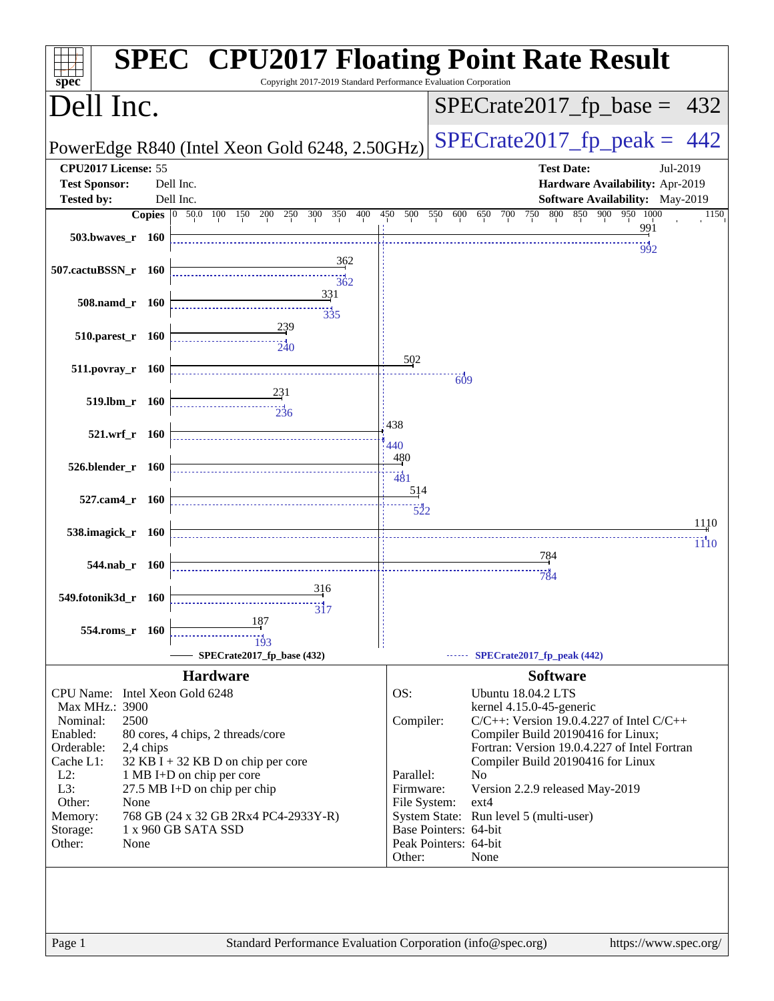| $spec^*$                                                                                                                                                                                   |                                                                                                                                                                                                                                       | <b>SPEC<sup>®</sup> CPU2017 Floating Point Rate Result</b><br>Copyright 2017-2019 Standard Performance Evaluation Corporation                                                                                                                                                                                                                                                                                                                                                                 |
|--------------------------------------------------------------------------------------------------------------------------------------------------------------------------------------------|---------------------------------------------------------------------------------------------------------------------------------------------------------------------------------------------------------------------------------------|-----------------------------------------------------------------------------------------------------------------------------------------------------------------------------------------------------------------------------------------------------------------------------------------------------------------------------------------------------------------------------------------------------------------------------------------------------------------------------------------------|
| Dell Inc.                                                                                                                                                                                  |                                                                                                                                                                                                                                       | $SPECrate2017_fp\_base = 432$                                                                                                                                                                                                                                                                                                                                                                                                                                                                 |
|                                                                                                                                                                                            | PowerEdge R840 (Intel Xeon Gold 6248, 2.50GHz)                                                                                                                                                                                        | $SPECTate2017$ _fp_peak = 442                                                                                                                                                                                                                                                                                                                                                                                                                                                                 |
| CPU2017 License: 55<br><b>Test Sponsor:</b><br><b>Tested by:</b>                                                                                                                           | Dell Inc.<br>Dell Inc.                                                                                                                                                                                                                | <b>Test Date:</b><br>Jul-2019<br>Hardware Availability: Apr-2019<br>Software Availability: May-2019                                                                                                                                                                                                                                                                                                                                                                                           |
| 503.bwaves_r 160                                                                                                                                                                           | Copies 0 50.0 100 150 200 250 300 350 400                                                                                                                                                                                             | 450 500 550 600 650 700 750 800 850 900 950 1000<br>1150<br>991<br>992                                                                                                                                                                                                                                                                                                                                                                                                                        |
| 507.cactuBSSN_r 160                                                                                                                                                                        | 362<br>362<br>331                                                                                                                                                                                                                     |                                                                                                                                                                                                                                                                                                                                                                                                                                                                                               |
| 508.namd_r 160<br>510.parest_r 160                                                                                                                                                         | $\frac{11}{335}$<br>239                                                                                                                                                                                                               |                                                                                                                                                                                                                                                                                                                                                                                                                                                                                               |
| 511.povray_r 160                                                                                                                                                                           | $\frac{1}{240}$                                                                                                                                                                                                                       | 502<br>609                                                                                                                                                                                                                                                                                                                                                                                                                                                                                    |
| 519.lbm_r 160                                                                                                                                                                              | 231<br>$\overline{2}$ 36                                                                                                                                                                                                              | 438                                                                                                                                                                                                                                                                                                                                                                                                                                                                                           |
| 521.wrf_r 160<br>526.blender_r 160                                                                                                                                                         |                                                                                                                                                                                                                                       | 440<br>480                                                                                                                                                                                                                                                                                                                                                                                                                                                                                    |
| 527.cam4_r 160                                                                                                                                                                             |                                                                                                                                                                                                                                       | $\frac{1}{481}$<br>514                                                                                                                                                                                                                                                                                                                                                                                                                                                                        |
| 538.imagick_r 160                                                                                                                                                                          |                                                                                                                                                                                                                                       | 522<br>1110<br>1110                                                                                                                                                                                                                                                                                                                                                                                                                                                                           |
| 544.nab_r 160                                                                                                                                                                              | 316                                                                                                                                                                                                                                   | <u>784</u><br>784                                                                                                                                                                                                                                                                                                                                                                                                                                                                             |
| 549.fotonik3d_r 160<br>554.roms r 160                                                                                                                                                      | $\overline{3}$<br>187                                                                                                                                                                                                                 |                                                                                                                                                                                                                                                                                                                                                                                                                                                                                               |
|                                                                                                                                                                                            | 193<br>SPECrate2017_fp_base (432)                                                                                                                                                                                                     | SPECrate2017_fp_peak (442)                                                                                                                                                                                                                                                                                                                                                                                                                                                                    |
| CPU Name: Intel Xeon Gold 6248<br>Max MHz.: 3900<br>Nominal:<br>2500<br>Enabled:<br>Orderable:<br>Cache $L1$ :<br>$L2$ :<br>L3:<br>Other:<br>None<br>Memory:<br>Storage:<br>Other:<br>None | <b>Hardware</b><br>80 cores, 4 chips, 2 threads/core<br>2,4 chips<br>$32$ KB I + 32 KB D on chip per core<br>1 MB I+D on chip per core<br>27.5 MB I+D on chip per chip<br>768 GB (24 x 32 GB 2Rx4 PC4-2933Y-R)<br>1 x 960 GB SATA SSD | <b>Software</b><br>OS:<br><b>Ubuntu 18.04.2 LTS</b><br>kernel 4.15.0-45-generic<br>Compiler:<br>$C/C++$ : Version 19.0.4.227 of Intel $C/C++$<br>Compiler Build 20190416 for Linux;<br>Fortran: Version 19.0.4.227 of Intel Fortran<br>Compiler Build 20190416 for Linux<br>Parallel:<br>N <sub>o</sub><br>Firmware:<br>Version 2.2.9 released May-2019<br>ext4<br>File System:<br>System State: Run level 5 (multi-user)<br>Base Pointers: 64-bit<br>Peak Pointers: 64-bit<br>Other:<br>None |
|                                                                                                                                                                                            |                                                                                                                                                                                                                                       |                                                                                                                                                                                                                                                                                                                                                                                                                                                                                               |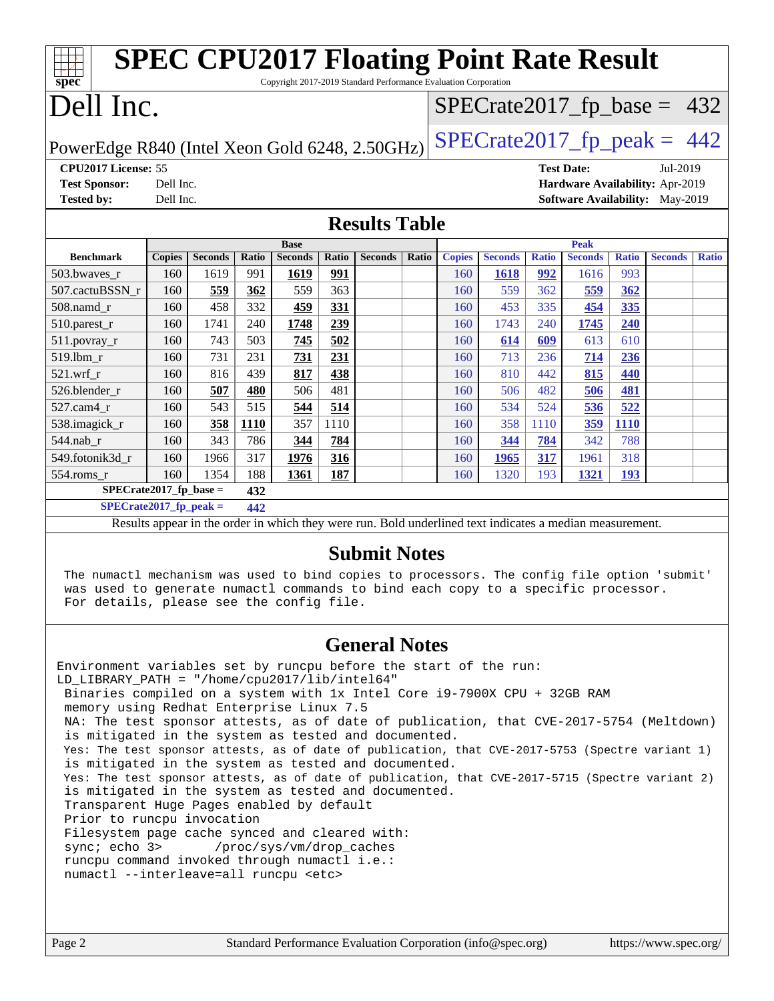| <b>SPEC CPU2017 Floating Point Rate Result</b><br>Copyright 2017-2019 Standard Performance Evaluation Corporation<br>spec <sup>®</sup> |                                                      |                |       |                |              |                |       |               |                                                                                                          |              |                |              |                                        |              |
|----------------------------------------------------------------------------------------------------------------------------------------|------------------------------------------------------|----------------|-------|----------------|--------------|----------------|-------|---------------|----------------------------------------------------------------------------------------------------------|--------------|----------------|--------------|----------------------------------------|--------------|
| Dell Inc.                                                                                                                              |                                                      |                |       |                |              |                |       |               | $SPECrate2017_fp\_base = 432$                                                                            |              |                |              |                                        |              |
| $SPECTate2017$ _fp_peak = 442<br>PowerEdge R840 (Intel Xeon Gold 6248, 2.50GHz)                                                        |                                                      |                |       |                |              |                |       |               |                                                                                                          |              |                |              |                                        |              |
|                                                                                                                                        | CPU2017 License: 55<br><b>Test Date:</b><br>Jul-2019 |                |       |                |              |                |       |               |                                                                                                          |              |                |              |                                        |              |
| <b>Test Sponsor:</b>                                                                                                                   | Dell Inc.                                            |                |       |                |              |                |       |               |                                                                                                          |              |                |              | Hardware Availability: Apr-2019        |              |
| <b>Tested by:</b>                                                                                                                      | Dell Inc.                                            |                |       |                |              |                |       |               |                                                                                                          |              |                |              | <b>Software Availability:</b> May-2019 |              |
| <b>Results Table</b>                                                                                                                   |                                                      |                |       |                |              |                |       |               |                                                                                                          |              |                |              |                                        |              |
|                                                                                                                                        |                                                      |                |       | <b>Base</b>    |              |                |       |               |                                                                                                          |              | <b>Peak</b>    |              |                                        |              |
| <b>Benchmark</b>                                                                                                                       | <b>Copies</b>                                        | <b>Seconds</b> | Ratio | <b>Seconds</b> | <b>Ratio</b> | <b>Seconds</b> | Ratio | <b>Copies</b> | <b>Seconds</b>                                                                                           | <b>Ratio</b> | <b>Seconds</b> | <b>Ratio</b> | <b>Seconds</b>                         | <b>Ratio</b> |
| 503.bwaves r                                                                                                                           | 160                                                  | 1619           | 991   | 1619           | 991          |                |       | 160           | 1618                                                                                                     | 992          | 1616           | 993          |                                        |              |
| 507.cactuBSSN r                                                                                                                        | 160                                                  | 559            | 362   | 559            | 363          |                |       | 160           | 559                                                                                                      | 362          | 559            | 362          |                                        |              |
| 508.namd_r                                                                                                                             | 160                                                  | 458            | 332   | 459            | 331          |                |       | 160           | 453                                                                                                      | 335          | 454            | 335          |                                        |              |
| $510.parest_r$                                                                                                                         | 160                                                  | 1741           | 240   | 1748           | 239          |                |       | 160           | 1743                                                                                                     | 240          | 1745           | 240          |                                        |              |
| 511.povray_r                                                                                                                           | 160                                                  | 743            | 503   | 745            | 502          |                |       | 160           | 614                                                                                                      | 609          | 613            | 610          |                                        |              |
| 519.lbm r                                                                                                                              | 160                                                  | 731            | 231   | 731            | 231          |                |       | 160           | 713                                                                                                      | 236          | 714            | 236          |                                        |              |
| 521.wrf                                                                                                                                | 160                                                  | 816            | 439   | 817            | 438          |                |       | 160           | 810                                                                                                      | 442          | 815            | 440          |                                        |              |
| 526.blender r                                                                                                                          | 160                                                  | 507            | 480   | 506            | 481          |                |       | 160           | 506                                                                                                      | 482          | 506            | 481          |                                        |              |
| 527.cam4_r                                                                                                                             | 160                                                  | 543            | 515   | 544            | 514          |                |       | 160           | 534                                                                                                      | 524          | 536            | 522          |                                        |              |
| 538.imagick_r                                                                                                                          | 160                                                  | 358            | 1110  | 357            | 1110         |                |       | 160           | 358                                                                                                      | 1110         | 359            | 1110         |                                        |              |
| 544.nab r                                                                                                                              | 160                                                  | 343            | 786   | 344            | 784          |                |       | 160           | 344                                                                                                      | 784          | 342            | 788          |                                        |              |
| 549.fotonik3d r                                                                                                                        | 160                                                  | 1966           | 317   | 1976           | 316          |                |       | 160           | 1965                                                                                                     | 317          | 1961           | 318          |                                        |              |
| 554.roms_r                                                                                                                             | 160                                                  | 1354           | 188   | 1361           | 187          |                |       | 160           | 1320                                                                                                     | 193          | 1321           | <b>193</b>   |                                        |              |
| $SPECrate2017_fp\_base =$                                                                                                              |                                                      |                | 432   |                |              |                |       |               |                                                                                                          |              |                |              |                                        |              |
| $SPECrate2017_fp\_peak =$                                                                                                              |                                                      |                | 442   |                |              |                |       |               |                                                                                                          |              |                |              |                                        |              |
|                                                                                                                                        |                                                      |                |       |                |              |                |       |               | Results appear in the order in which they were run. Bold underlined text indicates a median measurement. |              |                |              |                                        |              |
|                                                                                                                                        |                                                      |                |       |                |              |                |       |               |                                                                                                          |              |                |              |                                        |              |

#### **[Submit Notes](http://www.spec.org/auto/cpu2017/Docs/result-fields.html#SubmitNotes)**

 The numactl mechanism was used to bind copies to processors. The config file option 'submit' was used to generate numactl commands to bind each copy to a specific processor. For details, please see the config file.

#### **[General Notes](http://www.spec.org/auto/cpu2017/Docs/result-fields.html#GeneralNotes)**

Environment variables set by runcpu before the start of the run: LD\_LIBRARY\_PATH = "/home/cpu2017/lib/intel64" Binaries compiled on a system with 1x Intel Core i9-7900X CPU + 32GB RAM memory using Redhat Enterprise Linux 7.5 NA: The test sponsor attests, as of date of publication, that CVE-2017-5754 (Meltdown) is mitigated in the system as tested and documented. Yes: The test sponsor attests, as of date of publication, that CVE-2017-5753 (Spectre variant 1) is mitigated in the system as tested and documented. Yes: The test sponsor attests, as of date of publication, that CVE-2017-5715 (Spectre variant 2) is mitigated in the system as tested and documented. Transparent Huge Pages enabled by default Prior to runcpu invocation Filesystem page cache synced and cleared with: sync; echo 3> /proc/sys/vm/drop\_caches runcpu command invoked through numactl i.e.: numactl --interleave=all runcpu <etc>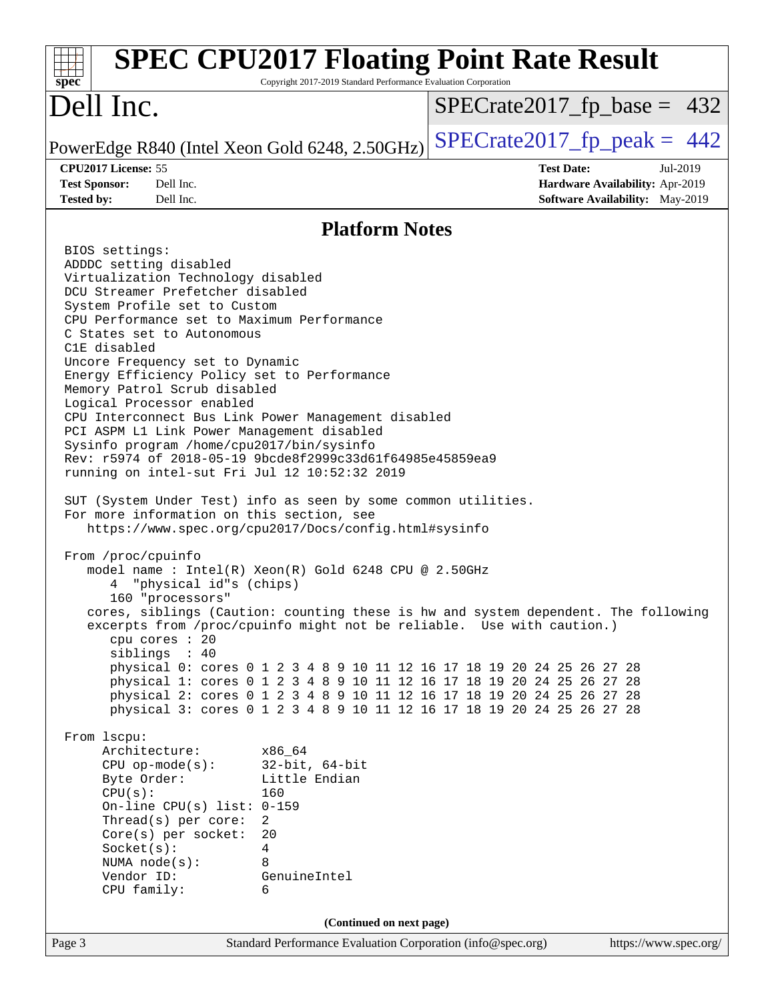| $spec^*$                                                                                                                                                                                                                                                                                                                                                                                                                                                                                                                                                                                                                                                                                                                                                                                                                                                                                                                                                                                                                                                                                                                                                                                                                                                                                                                                                                                            | <b>SPEC CPU2017 Floating Point Rate Result</b><br>Copyright 2017-2019 Standard Performance Evaluation Corporation                                                                                                                                                                                                                                                                                                     |                   |                                                                                |
|-----------------------------------------------------------------------------------------------------------------------------------------------------------------------------------------------------------------------------------------------------------------------------------------------------------------------------------------------------------------------------------------------------------------------------------------------------------------------------------------------------------------------------------------------------------------------------------------------------------------------------------------------------------------------------------------------------------------------------------------------------------------------------------------------------------------------------------------------------------------------------------------------------------------------------------------------------------------------------------------------------------------------------------------------------------------------------------------------------------------------------------------------------------------------------------------------------------------------------------------------------------------------------------------------------------------------------------------------------------------------------------------------------|-----------------------------------------------------------------------------------------------------------------------------------------------------------------------------------------------------------------------------------------------------------------------------------------------------------------------------------------------------------------------------------------------------------------------|-------------------|--------------------------------------------------------------------------------|
| Dell Inc.                                                                                                                                                                                                                                                                                                                                                                                                                                                                                                                                                                                                                                                                                                                                                                                                                                                                                                                                                                                                                                                                                                                                                                                                                                                                                                                                                                                           |                                                                                                                                                                                                                                                                                                                                                                                                                       |                   | $SPECrate2017_fp\_base = 432$                                                  |
| PowerEdge R840 (Intel Xeon Gold 6248, 2.50GHz)                                                                                                                                                                                                                                                                                                                                                                                                                                                                                                                                                                                                                                                                                                                                                                                                                                                                                                                                                                                                                                                                                                                                                                                                                                                                                                                                                      |                                                                                                                                                                                                                                                                                                                                                                                                                       |                   | $SPECrate2017fp peak = 442$                                                    |
| CPU2017 License: 55<br>Dell Inc.<br><b>Test Sponsor:</b><br>Dell Inc.<br><b>Tested by:</b>                                                                                                                                                                                                                                                                                                                                                                                                                                                                                                                                                                                                                                                                                                                                                                                                                                                                                                                                                                                                                                                                                                                                                                                                                                                                                                          |                                                                                                                                                                                                                                                                                                                                                                                                                       | <b>Test Date:</b> | Jul-2019<br>Hardware Availability: Apr-2019<br>Software Availability: May-2019 |
|                                                                                                                                                                                                                                                                                                                                                                                                                                                                                                                                                                                                                                                                                                                                                                                                                                                                                                                                                                                                                                                                                                                                                                                                                                                                                                                                                                                                     | <b>Platform Notes</b>                                                                                                                                                                                                                                                                                                                                                                                                 |                   |                                                                                |
| BIOS settings:<br>ADDDC setting disabled<br>Virtualization Technology disabled<br>DCU Streamer Prefetcher disabled<br>System Profile set to Custom<br>CPU Performance set to Maximum Performance<br>C States set to Autonomous<br>C1E disabled<br>Uncore Frequency set to Dynamic<br>Energy Efficiency Policy set to Performance<br>Memory Patrol Scrub disabled<br>Logical Processor enabled<br>CPU Interconnect Bus Link Power Management disabled<br>PCI ASPM L1 Link Power Management disabled<br>Sysinfo program /home/cpu2017/bin/sysinfo<br>Rev: r5974 of 2018-05-19 9bcde8f2999c33d61f64985e45859ea9<br>running on intel-sut Fri Jul 12 10:52:32 2019<br>SUT (System Under Test) info as seen by some common utilities.<br>For more information on this section, see<br>https://www.spec.org/cpu2017/Docs/config.html#sysinfo<br>From /proc/cpuinfo<br>model name : Intel(R) Xeon(R) Gold 6248 CPU @ 2.50GHz<br>"physical id"s (chips)<br>160 "processors"<br>cores, siblings (Caution: counting these is hw and system dependent. The following<br>excerpts from /proc/cpuinfo might not be reliable. Use with caution.)<br>$cpu$ cores : 20<br>siblings : 40<br>From 1scpu:<br>Architecture:<br>$CPU$ op-mode( $s$ ):<br>Byte Order:<br>CPU(s):<br>On-line CPU(s) list: $0-159$<br>Thread(s) per core:<br>Core(s) per socket:<br>Socket(s):<br>NUMA node(s):<br>Vendor ID:<br>CPU family: | physical 0: cores 0 1 2 3 4 8 9 10 11 12 16 17 18 19 20 24 25 26 27 28<br>physical 1: cores 0 1 2 3 4 8 9 10 11 12 16 17 18 19 20 24 25 26 27 28<br>physical 2: cores 0 1 2 3 4 8 9 10 11 12 16 17 18 19 20 24 25 26 27 28<br>physical 3: cores 0 1 2 3 4 8 9 10 11 12 16 17 18 19 20 24 25 26 27 28<br>x86 64<br>$32$ -bit, $64$ -bit<br>Little Endian<br>160<br>2<br>20<br>$\overline{4}$<br>8<br>GenuineIntel<br>6 |                   |                                                                                |
|                                                                                                                                                                                                                                                                                                                                                                                                                                                                                                                                                                                                                                                                                                                                                                                                                                                                                                                                                                                                                                                                                                                                                                                                                                                                                                                                                                                                     | (Continued on next page)                                                                                                                                                                                                                                                                                                                                                                                              |                   |                                                                                |
| Page 3                                                                                                                                                                                                                                                                                                                                                                                                                                                                                                                                                                                                                                                                                                                                                                                                                                                                                                                                                                                                                                                                                                                                                                                                                                                                                                                                                                                              | Standard Performance Evaluation Corporation (info@spec.org)                                                                                                                                                                                                                                                                                                                                                           |                   | https://www.spec.org/                                                          |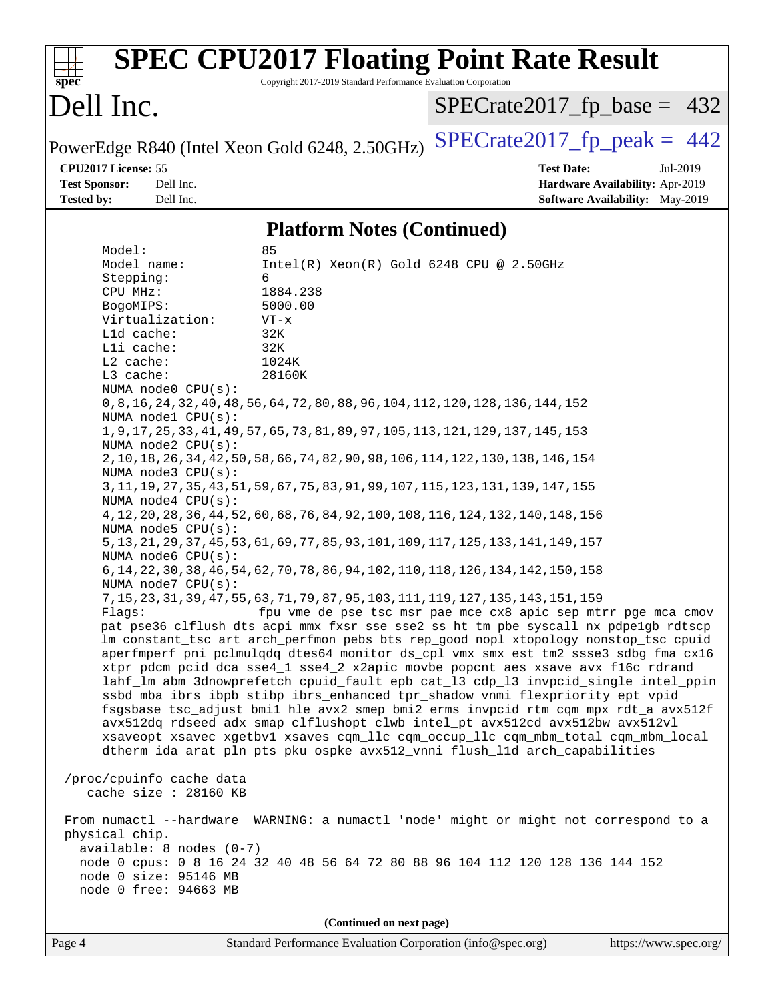| $spec^*$                                                                    |                                                                                                                                                                                                        | <b>SPEC CPU2017 Floating Point Rate Result</b><br>Copyright 2017-2019 Standard Performance Evaluation Corporation                                                                                                                                                                                                                                                                                                                                                                                                                                                                                                                                                                                                                                                                                                                                                                                                                                                                                                                                                                                                                                                                                                                                                                                                                                                                                                                                                                                                                                                                                                                                                                                                                            |                               |                                                                                       |
|-----------------------------------------------------------------------------|--------------------------------------------------------------------------------------------------------------------------------------------------------------------------------------------------------|----------------------------------------------------------------------------------------------------------------------------------------------------------------------------------------------------------------------------------------------------------------------------------------------------------------------------------------------------------------------------------------------------------------------------------------------------------------------------------------------------------------------------------------------------------------------------------------------------------------------------------------------------------------------------------------------------------------------------------------------------------------------------------------------------------------------------------------------------------------------------------------------------------------------------------------------------------------------------------------------------------------------------------------------------------------------------------------------------------------------------------------------------------------------------------------------------------------------------------------------------------------------------------------------------------------------------------------------------------------------------------------------------------------------------------------------------------------------------------------------------------------------------------------------------------------------------------------------------------------------------------------------------------------------------------------------------------------------------------------------|-------------------------------|---------------------------------------------------------------------------------------|
| Dell Inc.                                                                   |                                                                                                                                                                                                        |                                                                                                                                                                                                                                                                                                                                                                                                                                                                                                                                                                                                                                                                                                                                                                                                                                                                                                                                                                                                                                                                                                                                                                                                                                                                                                                                                                                                                                                                                                                                                                                                                                                                                                                                              |                               | $SPECrate2017_fp\_base = 432$                                                         |
|                                                                             |                                                                                                                                                                                                        | PowerEdge R840 (Intel Xeon Gold 6248, 2.50GHz)                                                                                                                                                                                                                                                                                                                                                                                                                                                                                                                                                                                                                                                                                                                                                                                                                                                                                                                                                                                                                                                                                                                                                                                                                                                                                                                                                                                                                                                                                                                                                                                                                                                                                               | $SPECTate2017$ _fp_peak = 442 |                                                                                       |
| CPU2017 License: 55<br><b>Test Sponsor:</b><br><b>Tested by:</b>            | Dell Inc.<br>Dell Inc.                                                                                                                                                                                 |                                                                                                                                                                                                                                                                                                                                                                                                                                                                                                                                                                                                                                                                                                                                                                                                                                                                                                                                                                                                                                                                                                                                                                                                                                                                                                                                                                                                                                                                                                                                                                                                                                                                                                                                              | <b>Test Date:</b>             | Jul-2019<br>Hardware Availability: Apr-2019<br><b>Software Availability:</b> May-2019 |
|                                                                             |                                                                                                                                                                                                        | <b>Platform Notes (Continued)</b>                                                                                                                                                                                                                                                                                                                                                                                                                                                                                                                                                                                                                                                                                                                                                                                                                                                                                                                                                                                                                                                                                                                                                                                                                                                                                                                                                                                                                                                                                                                                                                                                                                                                                                            |                               |                                                                                       |
| Model:                                                                      |                                                                                                                                                                                                        | 85                                                                                                                                                                                                                                                                                                                                                                                                                                                                                                                                                                                                                                                                                                                                                                                                                                                                                                                                                                                                                                                                                                                                                                                                                                                                                                                                                                                                                                                                                                                                                                                                                                                                                                                                           |                               |                                                                                       |
| CPU MHz:<br>BogoMIPS:<br>Lld cache:<br>Lli cache:<br>L2 cache:<br>L3 cache: | Virtualization:<br>NUMA node0 CPU(s):<br>NUMA nodel CPU(s):<br>NUMA node2 CPU(s):<br>NUMA $node3$ $CPU(s)$ :<br>NUMA node4 CPU(s):<br>NUMA node5 CPU(s):<br>NUMA node6 $CPU(s):$<br>NUMA node7 CPU(s): | 1884.238<br>5000.00<br>$VT - x$<br>32K<br>32K<br>1024K<br>28160K<br>0, 8, 16, 24, 32, 40, 48, 56, 64, 72, 80, 88, 96, 104, 112, 120, 128, 136, 144, 152<br>1, 9, 17, 25, 33, 41, 49, 57, 65, 73, 81, 89, 97, 105, 113, 121, 129, 137, 145, 153<br>2, 10, 18, 26, 34, 42, 50, 58, 66, 74, 82, 90, 98, 106, 114, 122, 130, 138, 146, 154<br>3, 11, 19, 27, 35, 43, 51, 59, 67, 75, 83, 91, 99, 107, 115, 123, 131, 139, 147, 155<br>4, 12, 20, 28, 36, 44, 52, 60, 68, 76, 84, 92, 100, 108, 116, 124, 132, 140, 148, 156<br>5, 13, 21, 29, 37, 45, 53, 61, 69, 77, 85, 93, 101, 109, 117, 125, 133, 141, 149, 157<br>6, 14, 22, 30, 38, 46, 54, 62, 70, 78, 86, 94, 102, 110, 118, 126, 134, 142, 150, 158<br>7, 15, 23, 31, 39, 47, 55, 63, 71, 79, 87, 95, 103, 111, 119, 127, 135, 143, 151, 159<br>Flags: fpu vme de pse tsc msr pae mce cx8 apic sep mtrr pge mca cmov<br>pat pse36 clflush dts acpi mmx fxsr sse sse2 ss ht tm pbe syscall nx pdpelgb rdtscp<br>lm constant_tsc art arch_perfmon pebs bts rep_good nopl xtopology nonstop_tsc cpuid<br>aperfmperf pni pclmulqdq dtes64 monitor ds_cpl vmx smx est tm2 ssse3 sdbg fma cx16<br>xtpr pdcm pcid dca sse4_1 sse4_2 x2apic movbe popcnt aes xsave avx f16c rdrand<br>lahf_lm abm 3dnowprefetch cpuid_fault epb cat_13 cdp_13 invpcid_single intel_ppin<br>ssbd mba ibrs ibpb stibp ibrs_enhanced tpr_shadow vnmi flexpriority ept vpid<br>fsgsbase tsc_adjust bmil hle avx2 smep bmi2 erms invpcid rtm cqm mpx rdt_a avx512f<br>avx512dq rdseed adx smap clflushopt clwb intel_pt avx512cd avx512bw avx512vl<br>xsaveopt xsavec xgetbvl xsaves cqm_llc cqm_occup_llc cqm_mbm_total cqm_mbm_local<br>dtherm ida arat pln pts pku ospke avx512_vnni flush_l1d arch_capabilities |                               |                                                                                       |
|                                                                             | /proc/cpuinfo cache data<br>cache size : 28160 KB                                                                                                                                                      |                                                                                                                                                                                                                                                                                                                                                                                                                                                                                                                                                                                                                                                                                                                                                                                                                                                                                                                                                                                                                                                                                                                                                                                                                                                                                                                                                                                                                                                                                                                                                                                                                                                                                                                                              |                               |                                                                                       |
| physical chip.                                                              | $available: 8 nodes (0-7)$<br>node 0 size: 95146 MB<br>node 0 free: 94663 MB                                                                                                                           | From numactl --hardware WARNING: a numactl 'node' might or might not correspond to a<br>node 0 cpus: 0 8 16 24 32 40 48 56 64 72 80 88 96 104 112 120 128 136 144 152                                                                                                                                                                                                                                                                                                                                                                                                                                                                                                                                                                                                                                                                                                                                                                                                                                                                                                                                                                                                                                                                                                                                                                                                                                                                                                                                                                                                                                                                                                                                                                        |                               |                                                                                       |
|                                                                             |                                                                                                                                                                                                        | (Continued on next page)                                                                                                                                                                                                                                                                                                                                                                                                                                                                                                                                                                                                                                                                                                                                                                                                                                                                                                                                                                                                                                                                                                                                                                                                                                                                                                                                                                                                                                                                                                                                                                                                                                                                                                                     |                               |                                                                                       |
| Page 4                                                                      |                                                                                                                                                                                                        | Standard Performance Evaluation Corporation (info@spec.org)                                                                                                                                                                                                                                                                                                                                                                                                                                                                                                                                                                                                                                                                                                                                                                                                                                                                                                                                                                                                                                                                                                                                                                                                                                                                                                                                                                                                                                                                                                                                                                                                                                                                                  |                               | https://www.spec.org/                                                                 |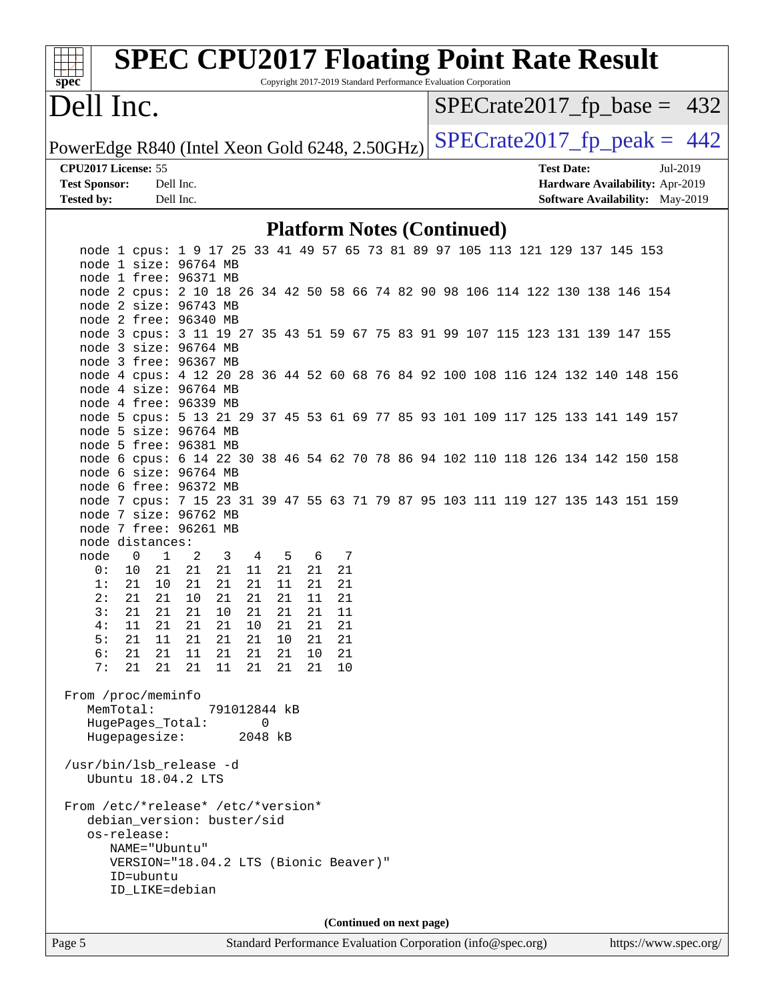| spec <sup>®</sup>                              | <b>SPEC CPU2017 Floating Point Rate Result</b>                                                                                            |           |              | Copyright 2017-2019 Standard Performance Evaluation Corporation |    |    |  |  |  |  |                   |  |                                 |                               |
|------------------------------------------------|-------------------------------------------------------------------------------------------------------------------------------------------|-----------|--------------|-----------------------------------------------------------------|----|----|--|--|--|--|-------------------|--|---------------------------------|-------------------------------|
| Dell Inc.                                      |                                                                                                                                           |           |              |                                                                 |    |    |  |  |  |  |                   |  |                                 | $SPECrate2017_fp\_base = 432$ |
| PowerEdge R840 (Intel Xeon Gold 6248, 2.50GHz) |                                                                                                                                           |           |              |                                                                 |    |    |  |  |  |  |                   |  |                                 | $SPECrate2017_fp\_peak = 442$ |
| CPU2017 License: 55                            |                                                                                                                                           |           |              |                                                                 |    |    |  |  |  |  | <b>Test Date:</b> |  | Jul-2019                        |                               |
| <b>Test Sponsor:</b>                           |                                                                                                                                           | Dell Inc. |              |                                                                 |    |    |  |  |  |  |                   |  | Hardware Availability: Apr-2019 |                               |
| <b>Tested by:</b>                              |                                                                                                                                           | Dell Inc. |              |                                                                 |    |    |  |  |  |  |                   |  | Software Availability: May-2019 |                               |
|                                                |                                                                                                                                           |           |              | <b>Platform Notes (Continued)</b>                               |    |    |  |  |  |  |                   |  |                                 |                               |
|                                                | node 1 cpus: 1 9 17 25 33 41 49 57 65 73 81 89 97 105 113 121 129 137 145 153                                                             |           |              |                                                                 |    |    |  |  |  |  |                   |  |                                 |                               |
|                                                | node 1 size: 96764 MB                                                                                                                     |           |              |                                                                 |    |    |  |  |  |  |                   |  |                                 |                               |
|                                                | node 1 free: 96371 MB                                                                                                                     |           |              |                                                                 |    |    |  |  |  |  |                   |  |                                 |                               |
|                                                | node 2 cpus: 2 10 18 26 34 42 50 58 66 74 82 90 98 106 114 122 130 138 146 154                                                            |           |              |                                                                 |    |    |  |  |  |  |                   |  |                                 |                               |
|                                                | node 2 size: 96743 MB                                                                                                                     |           |              |                                                                 |    |    |  |  |  |  |                   |  |                                 |                               |
|                                                | node 2 free: 96340 MB<br>node 3 cpus: 3 11 19 27 35 43 51 59 67 75 83 91 99 107 115 123 131 139 147 155                                   |           |              |                                                                 |    |    |  |  |  |  |                   |  |                                 |                               |
|                                                | node 3 size: 96764 MB                                                                                                                     |           |              |                                                                 |    |    |  |  |  |  |                   |  |                                 |                               |
|                                                | node 3 free: 96367 MB                                                                                                                     |           |              |                                                                 |    |    |  |  |  |  |                   |  |                                 |                               |
|                                                | node 4 cpus: 4 12 20 28 36 44 52 60 68 76 84 92 100 108 116 124 132 140 148 156                                                           |           |              |                                                                 |    |    |  |  |  |  |                   |  |                                 |                               |
|                                                | node 4 size: 96764 MB                                                                                                                     |           |              |                                                                 |    |    |  |  |  |  |                   |  |                                 |                               |
|                                                | node 4 free: 96339 MB                                                                                                                     |           |              |                                                                 |    |    |  |  |  |  |                   |  |                                 |                               |
|                                                | node 5 cpus: 5 13 21 29 37 45 53 61 69 77 85 93 101 109 117 125 133 141 149 157                                                           |           |              |                                                                 |    |    |  |  |  |  |                   |  |                                 |                               |
|                                                | node 5 size: 96764 MB                                                                                                                     |           |              |                                                                 |    |    |  |  |  |  |                   |  |                                 |                               |
|                                                | node 5 free: 96381 MB                                                                                                                     |           |              |                                                                 |    |    |  |  |  |  |                   |  |                                 |                               |
|                                                | node 6 cpus: 6 14 22 30 38 46 54 62 70 78 86 94 102 110 118 126 134 142 150 158                                                           |           |              |                                                                 |    |    |  |  |  |  |                   |  |                                 |                               |
|                                                | node 6 size: 96764 MB                                                                                                                     |           |              |                                                                 |    |    |  |  |  |  |                   |  |                                 |                               |
|                                                | node 6 free: 96372 MB                                                                                                                     |           |              |                                                                 |    |    |  |  |  |  |                   |  |                                 |                               |
|                                                | node 7 cpus: 7 15 23 31 39 47 55 63 71 79 87 95 103 111 119 127 135 143 151 159                                                           |           |              |                                                                 |    |    |  |  |  |  |                   |  |                                 |                               |
|                                                | node 7 size: 96762 MB                                                                                                                     |           |              |                                                                 |    |    |  |  |  |  |                   |  |                                 |                               |
|                                                | node 7 free: 96261 MB                                                                                                                     |           |              |                                                                 |    |    |  |  |  |  |                   |  |                                 |                               |
|                                                | node distances:                                                                                                                           |           |              |                                                                 |    |    |  |  |  |  |                   |  |                                 |                               |
| node                                           | 0<br>1                                                                                                                                    | 2         | 3<br>4       | 5                                                               | 6  | 7  |  |  |  |  |                   |  |                                 |                               |
| 0 :                                            | 21<br>10                                                                                                                                  | 21        | 21<br>11     | 21                                                              | 21 | 21 |  |  |  |  |                   |  |                                 |                               |
| 1:                                             | 21<br>10                                                                                                                                  | 21        | 21<br>21     | 11                                                              | 21 | 21 |  |  |  |  |                   |  |                                 |                               |
| 2:                                             | 21<br>21                                                                                                                                  | 10        | 21<br>21     | 21                                                              | 11 | 21 |  |  |  |  |                   |  |                                 |                               |
| 3:                                             | 21<br>21                                                                                                                                  | 21        | 21<br>10     | 21                                                              | 21 | 11 |  |  |  |  |                   |  |                                 |                               |
| 4 :                                            | 21<br>11                                                                                                                                  | 21        | 21<br>10     | 21                                                              | 21 | 21 |  |  |  |  |                   |  |                                 |                               |
| 5:                                             | 11<br>21                                                                                                                                  | 21        | 21<br>21     | 10                                                              | 21 | 21 |  |  |  |  |                   |  |                                 |                               |
| 6:                                             | 21<br>21                                                                                                                                  | 11        | 21<br>21     | 21                                                              | 10 | 21 |  |  |  |  |                   |  |                                 |                               |
| 7:                                             | 21<br>21                                                                                                                                  | 21        | 11<br>21     | 21                                                              | 21 | 10 |  |  |  |  |                   |  |                                 |                               |
|                                                | From /proc/meminfo                                                                                                                        |           |              |                                                                 |    |    |  |  |  |  |                   |  |                                 |                               |
|                                                | MemTotal:                                                                                                                                 |           | 791012844 kB |                                                                 |    |    |  |  |  |  |                   |  |                                 |                               |
|                                                | HugePages_Total:                                                                                                                          |           |              | $\mathbf 0$                                                     |    |    |  |  |  |  |                   |  |                                 |                               |
|                                                | Hugepagesize:                                                                                                                             |           |              | 2048 kB                                                         |    |    |  |  |  |  |                   |  |                                 |                               |
|                                                | /usr/bin/lsb_release -d<br>Ubuntu 18.04.2 LTS                                                                                             |           |              |                                                                 |    |    |  |  |  |  |                   |  |                                 |                               |
|                                                | From /etc/*release* /etc/*version*<br>debian_version: buster/sid<br>os-release:<br>NAME="Ubuntu"<br>VERSION="18.04.2 LTS (Bionic Beaver)" |           |              |                                                                 |    |    |  |  |  |  |                   |  |                                 |                               |

**(Continued on next page)**

 ID=ubuntu ID\_LIKE=debian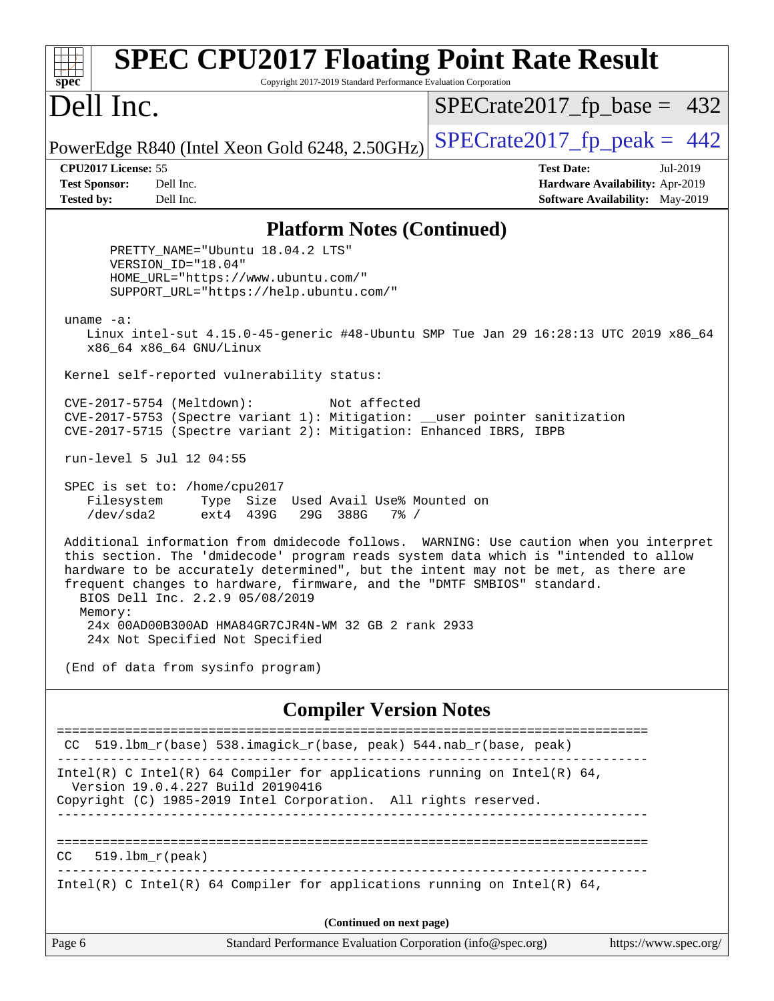| <b>SPEC CPU2017 Floating Point Rate Result</b><br>Copyright 2017-2019 Standard Performance Evaluation Corporation<br>$spec^*$                                                                                                                                                                                                                                                                |                                                                                                     |
|----------------------------------------------------------------------------------------------------------------------------------------------------------------------------------------------------------------------------------------------------------------------------------------------------------------------------------------------------------------------------------------------|-----------------------------------------------------------------------------------------------------|
| Dell Inc.                                                                                                                                                                                                                                                                                                                                                                                    | $SPECrate2017_fp\_base = 432$                                                                       |
| PowerEdge R840 (Intel Xeon Gold 6248, 2.50GHz)                                                                                                                                                                                                                                                                                                                                               | $SPECrate2017fp peak = 442$                                                                         |
| CPU2017 License: 55<br>Dell Inc.<br><b>Test Sponsor:</b><br><b>Tested by:</b><br>Dell Inc.                                                                                                                                                                                                                                                                                                   | <b>Test Date:</b><br>Jul-2019<br>Hardware Availability: Apr-2019<br>Software Availability: May-2019 |
| <b>Platform Notes (Continued)</b>                                                                                                                                                                                                                                                                                                                                                            |                                                                                                     |
| PRETTY_NAME="Ubuntu 18.04.2 LTS"<br>VERSION_ID="18.04"<br>HOME_URL="https://www.ubuntu.com/"<br>SUPPORT_URL="https://help.ubuntu.com/"                                                                                                                                                                                                                                                       |                                                                                                     |
| uname $-a$ :<br>Linux intel-sut 4.15.0-45-generic #48-Ubuntu SMP Tue Jan 29 16:28:13 UTC 2019 x86_64<br>x86_64 x86_64 GNU/Linux                                                                                                                                                                                                                                                              |                                                                                                     |
| Kernel self-reported vulnerability status:                                                                                                                                                                                                                                                                                                                                                   |                                                                                                     |
| CVE-2017-5754 (Meltdown):<br>Not affected<br>CVE-2017-5753 (Spectre variant 1): Mitigation: __user pointer sanitization<br>CVE-2017-5715 (Spectre variant 2): Mitigation: Enhanced IBRS, IBPB                                                                                                                                                                                                |                                                                                                     |
| run-level 5 Jul 12 04:55                                                                                                                                                                                                                                                                                                                                                                     |                                                                                                     |
| SPEC is set to: /home/cpu2017<br>Filesystem<br>Type Size Used Avail Use% Mounted on<br>/dev/sda2<br>ext4 439G<br>29G 388G<br>$7\%$ /                                                                                                                                                                                                                                                         |                                                                                                     |
| Additional information from dmidecode follows. WARNING: Use caution when you interpret<br>this section. The 'dmidecode' program reads system data which is "intended to allow<br>hardware to be accurately determined", but the intent may not be met, as there are<br>frequent changes to hardware, firmware, and the "DMTF SMBIOS" standard.<br>BIOS Dell Inc. 2.2.9 05/08/2019<br>Memory: |                                                                                                     |
| 24x 00AD00B300AD HMA84GR7CJR4N-WM 32 GB 2 rank 2933<br>24x Not Specified Not Specified                                                                                                                                                                                                                                                                                                       |                                                                                                     |
| (End of data from sysinfo program)                                                                                                                                                                                                                                                                                                                                                           |                                                                                                     |
| <b>Compiler Version Notes</b>                                                                                                                                                                                                                                                                                                                                                                |                                                                                                     |
| $519.1$ bm_r(base) $538.imagick_r(base, peak)$ $544.nah_r(base, peak)$<br>CC.                                                                                                                                                                                                                                                                                                                |                                                                                                     |
| Intel(R) C Intel(R) 64 Compiler for applications running on Intel(R) 64,<br>Version 19.0.4.227 Build 20190416<br>Copyright (C) 1985-2019 Intel Corporation. All rights reserved.                                                                                                                                                                                                             |                                                                                                     |
| $519.1bm_r(peak)$<br>CC.                                                                                                                                                                                                                                                                                                                                                                     |                                                                                                     |
| Intel(R) C Intel(R) 64 Compiler for applications running on Intel(R) 64,                                                                                                                                                                                                                                                                                                                     |                                                                                                     |
| (Continued on next page)                                                                                                                                                                                                                                                                                                                                                                     |                                                                                                     |
| Standard Performance Evaluation Corporation (info@spec.org)<br>Page 6                                                                                                                                                                                                                                                                                                                        | https://www.spec.org/                                                                               |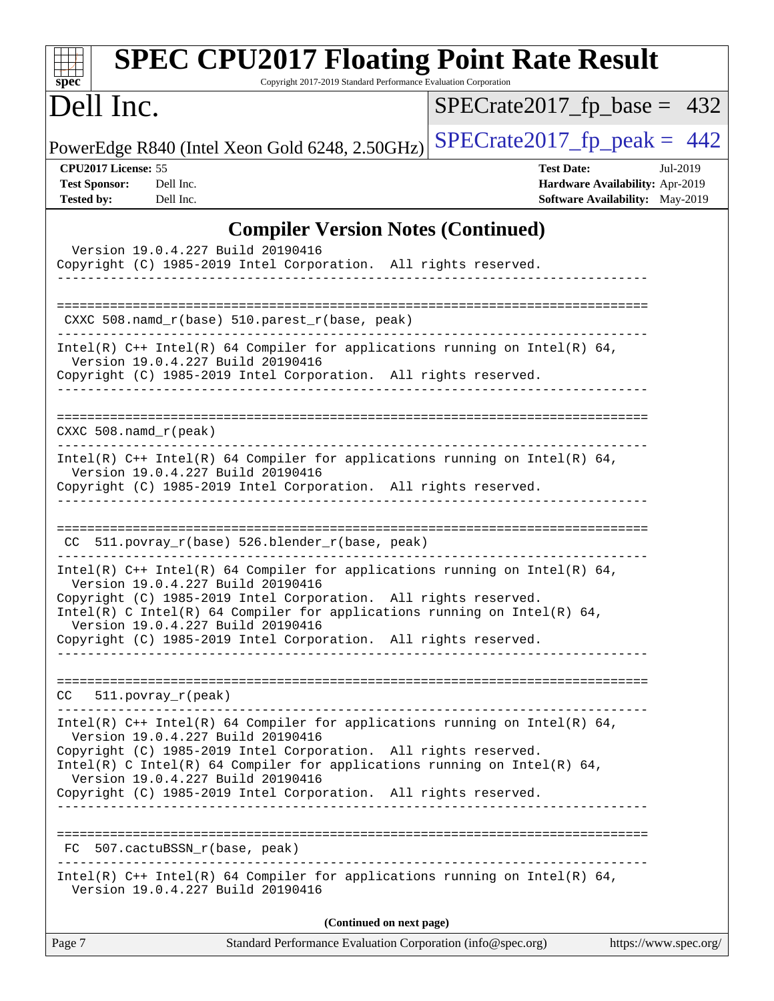| spec <sup>®</sup>                                                | <b>SPEC CPU2017 Floating Point Rate Result</b><br>Copyright 2017-2019 Standard Performance Evaluation Corporation                                                                                                                                                                                                                                                          |                                                                                                |                       |
|------------------------------------------------------------------|----------------------------------------------------------------------------------------------------------------------------------------------------------------------------------------------------------------------------------------------------------------------------------------------------------------------------------------------------------------------------|------------------------------------------------------------------------------------------------|-----------------------|
| Dell Inc.                                                        |                                                                                                                                                                                                                                                                                                                                                                            | $SPECrate2017_fp\_base = 432$                                                                  |                       |
|                                                                  | PowerEdge R840 (Intel Xeon Gold 6248, 2.50GHz)                                                                                                                                                                                                                                                                                                                             | $SPECrate2017fp peak = 442$                                                                    |                       |
| CPU2017 License: 55<br><b>Test Sponsor:</b><br><b>Tested by:</b> | Dell Inc.<br>Dell Inc.                                                                                                                                                                                                                                                                                                                                                     | <b>Test Date:</b><br>Hardware Availability: Apr-2019<br><b>Software Availability:</b> May-2019 | Jul-2019              |
|                                                                  | <b>Compiler Version Notes (Continued)</b><br>Version 19.0.4.227 Build 20190416<br>Copyright (C) 1985-2019 Intel Corporation. All rights reserved.<br>--------------------------------                                                                                                                                                                                      |                                                                                                |                       |
|                                                                  | CXXC 508.namd_r(base) 510.parest_r(base, peak)                                                                                                                                                                                                                                                                                                                             |                                                                                                |                       |
|                                                                  | Intel(R) $C++$ Intel(R) 64 Compiler for applications running on Intel(R) 64,<br>Version 19.0.4.227 Build 20190416<br>Copyright (C) 1985-2019 Intel Corporation. All rights reserved.                                                                                                                                                                                       |                                                                                                |                       |
| $CXXC 508.namd_r (peak)$                                         |                                                                                                                                                                                                                                                                                                                                                                            |                                                                                                |                       |
|                                                                  | Intel(R) $C++$ Intel(R) 64 Compiler for applications running on Intel(R) 64,<br>Version 19.0.4.227 Build 20190416<br>Copyright (C) 1985-2019 Intel Corporation. All rights reserved.                                                                                                                                                                                       |                                                                                                |                       |
|                                                                  | CC 511.povray_r(base) 526.blender_r(base, peak)                                                                                                                                                                                                                                                                                                                            |                                                                                                |                       |
|                                                                  | Intel(R) C++ Intel(R) 64 Compiler for applications running on Intel(R) 64,<br>Version 19.0.4.227 Build 20190416<br>Copyright (C) 1985-2019 Intel Corporation. All rights reserved.<br>Intel(R) C Intel(R) 64 Compiler for applications running on Intel(R) 64,<br>Version 19.0.4.227 Build 20190416<br>Copyright (C) 1985-2019 Intel Corporation. All rights reserved.     |                                                                                                |                       |
|                                                                  | CC 511.povray_r(peak)                                                                                                                                                                                                                                                                                                                                                      |                                                                                                |                       |
|                                                                  | Intel(R) $C++$ Intel(R) 64 Compiler for applications running on Intel(R) 64,<br>Version 19.0.4.227 Build 20190416<br>Copyright (C) 1985-2019 Intel Corporation. All rights reserved.<br>$Intel(R)$ C Intel(R) 64 Compiler for applications running on Intel(R) 64,<br>Version 19.0.4.227 Build 20190416<br>Copyright (C) 1985-2019 Intel Corporation. All rights reserved. |                                                                                                |                       |
|                                                                  | FC 507.cactuBSSN_r(base, peak)                                                                                                                                                                                                                                                                                                                                             |                                                                                                |                       |
|                                                                  | Intel(R) $C++$ Intel(R) 64 Compiler for applications running on Intel(R) 64,<br>Version 19.0.4.227 Build 20190416                                                                                                                                                                                                                                                          |                                                                                                |                       |
|                                                                  | (Continued on next page)                                                                                                                                                                                                                                                                                                                                                   |                                                                                                |                       |
| Page 7                                                           | Standard Performance Evaluation Corporation (info@spec.org)                                                                                                                                                                                                                                                                                                                |                                                                                                | https://www.spec.org/ |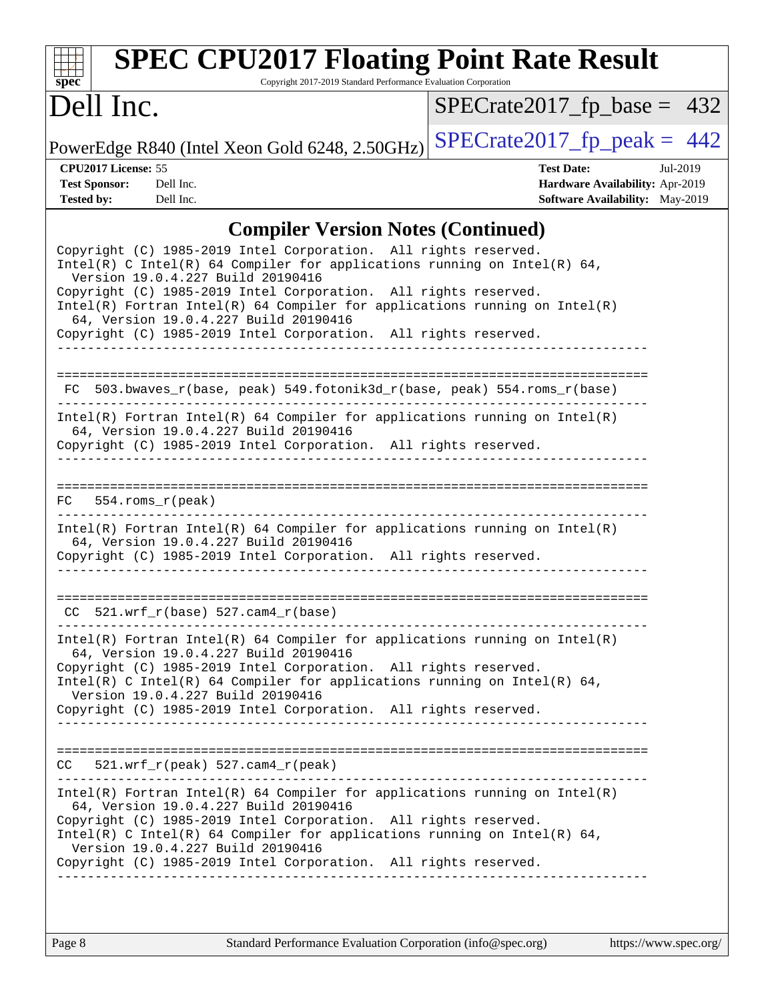

# **[SPEC CPU2017 Floating Point Rate Result](http://www.spec.org/auto/cpu2017/Docs/result-fields.html#SPECCPU2017FloatingPointRateResult)**

Copyright 2017-2019 Standard Performance Evaluation Corporation

## Dell Inc.

[SPECrate2017\\_fp\\_base =](http://www.spec.org/auto/cpu2017/Docs/result-fields.html#SPECrate2017fpbase) 432

PowerEdge R840 (Intel Xeon Gold 6248, 2.50GHz) [SPECrate2017\\_fp\\_peak =](http://www.spec.org/auto/cpu2017/Docs/result-fields.html#SPECrate2017fppeak)  $442$ 

**[CPU2017 License:](http://www.spec.org/auto/cpu2017/Docs/result-fields.html#CPU2017License)** 55 **[Test Date:](http://www.spec.org/auto/cpu2017/Docs/result-fields.html#TestDate)** Jul-2019 **[Test Sponsor:](http://www.spec.org/auto/cpu2017/Docs/result-fields.html#TestSponsor)** Dell Inc. **[Hardware Availability:](http://www.spec.org/auto/cpu2017/Docs/result-fields.html#HardwareAvailability)** Apr-2019 **[Tested by:](http://www.spec.org/auto/cpu2017/Docs/result-fields.html#Testedby)** Dell Inc. Dell Inc. **[Software Availability:](http://www.spec.org/auto/cpu2017/Docs/result-fields.html#SoftwareAvailability)** May-2019

#### **[Compiler Version Notes \(Continued\)](http://www.spec.org/auto/cpu2017/Docs/result-fields.html#CompilerVersionNotes)**

| Copyright (C) 1985-2019 Intel Corporation. All rights reserved.<br>$Intel(R)$ C Intel(R) 64 Compiler for applications running on Intel(R) 64,<br>Version 19.0.4.227 Build 20190416<br>Copyright (C) 1985-2019 Intel Corporation. All rights reserved.<br>$Intel(R)$ Fortran Intel(R) 64 Compiler for applications running on Intel(R)<br>64, Version 19.0.4.227 Build 20190416<br>Copyright (C) 1985-2019 Intel Corporation. All rights reserved. |
|---------------------------------------------------------------------------------------------------------------------------------------------------------------------------------------------------------------------------------------------------------------------------------------------------------------------------------------------------------------------------------------------------------------------------------------------------|
| FC 503.bwaves_r(base, peak) 549.fotonik3d_r(base, peak) 554.roms_r(base)                                                                                                                                                                                                                                                                                                                                                                          |
| $Intel(R)$ Fortran Intel(R) 64 Compiler for applications running on Intel(R)<br>64, Version 19.0.4.227 Build 20190416<br>Copyright (C) 1985-2019 Intel Corporation. All rights reserved.<br>________________________                                                                                                                                                                                                                              |
| $FC 554.rows_r (peak)$                                                                                                                                                                                                                                                                                                                                                                                                                            |
| $Intel(R)$ Fortran Intel(R) 64 Compiler for applications running on Intel(R)<br>64, Version 19.0.4.227 Build 20190416<br>Copyright (C) 1985-2019 Intel Corporation. All rights reserved.                                                                                                                                                                                                                                                          |
| $CC$ 521.wrf $r(base)$ 527.cam4 $r(base)$                                                                                                                                                                                                                                                                                                                                                                                                         |
| $Intel(R)$ Fortran Intel(R) 64 Compiler for applications running on Intel(R)<br>64, Version 19.0.4.227 Build 20190416<br>Copyright (C) 1985-2019 Intel Corporation. All rights reserved.<br>Intel(R) C Intel(R) 64 Compiler for applications running on Intel(R) 64,<br>Version 19.0.4.227 Build 20190416<br>Copyright (C) 1985-2019 Intel Corporation. All rights reserved.                                                                      |
| 521.wrf_r(peak) 527.cam4_r(peak)<br>CC.                                                                                                                                                                                                                                                                                                                                                                                                           |
| $Intel(R)$ Fortran Intel(R) 64 Compiler for applications running on Intel(R)<br>64, Version 19.0.4.227 Build 20190416<br>Copyright (C) 1985-2019 Intel Corporation. All rights reserved.<br>Intel(R) C Intel(R) 64 Compiler for applications running on Intel(R) 64,<br>Version 19.0.4.227 Build 20190416<br>Copyright (C) 1985-2019 Intel Corporation. All rights reserved.                                                                      |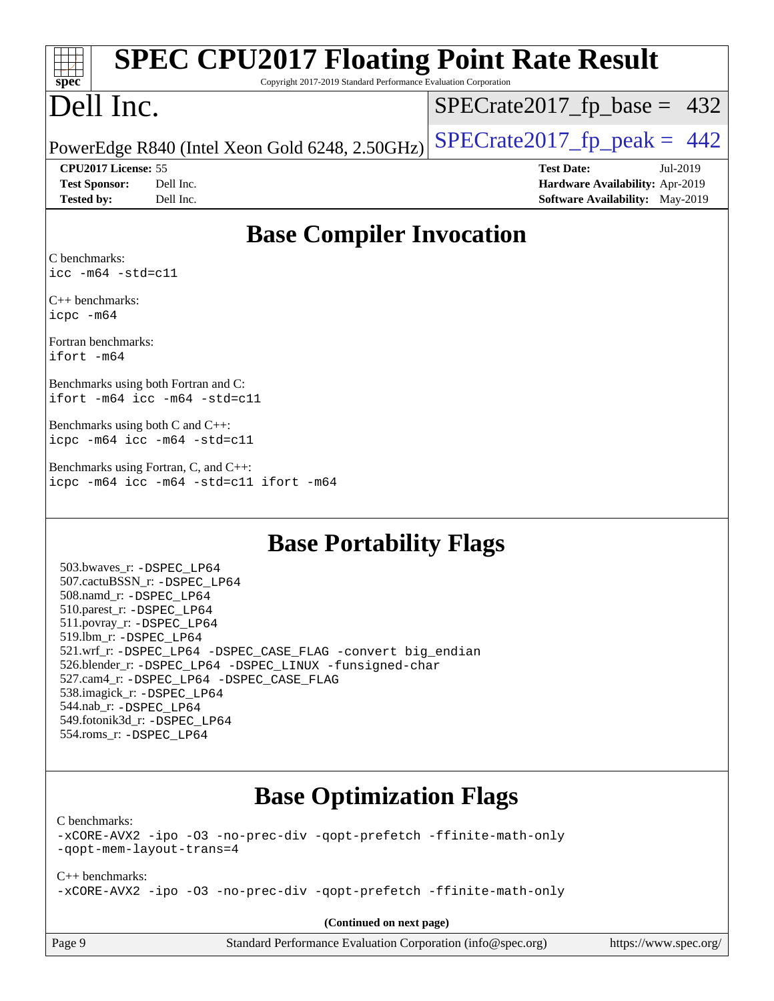| <b>SPEC CPU2017 Floating Point Rate Result</b>                                                                    |                                        |  |  |  |  |
|-------------------------------------------------------------------------------------------------------------------|----------------------------------------|--|--|--|--|
| Copyright 2017-2019 Standard Performance Evaluation Corporation<br>spec                                           |                                        |  |  |  |  |
| Dell Inc.                                                                                                         | $SPECrate2017_fp\_base = 432$          |  |  |  |  |
| PowerEdge R840 (Intel Xeon Gold 6248, 2.50GHz)                                                                    | $SPECTate2017$ _fp_peak = 442          |  |  |  |  |
| CPU2017 License: 55                                                                                               | <b>Test Date:</b><br>Jul-2019          |  |  |  |  |
| <b>Test Sponsor:</b><br>Dell Inc.                                                                                 | Hardware Availability: Apr-2019        |  |  |  |  |
| <b>Tested by:</b><br>Dell Inc.                                                                                    | <b>Software Availability:</b> May-2019 |  |  |  |  |
| <b>Base Compiler Invocation</b><br>C benchmarks:<br>$\text{icc}$ -m64 -std=c11                                    |                                        |  |  |  |  |
| $C_{++}$ benchmarks:<br>icpc -m64                                                                                 |                                        |  |  |  |  |
| Fortran benchmarks:<br>ifort -m64                                                                                 |                                        |  |  |  |  |
| Benchmarks using both Fortran and C:<br>ifort -m64 icc -m64 -std=c11                                              |                                        |  |  |  |  |
| Benchmarks using both C and C++:<br>icpc -m64 icc -m64 -std=c11                                                   |                                        |  |  |  |  |
| Benchmarks using Fortran, C, and C++:<br>icpc -m64 icc -m64 -std=c11 ifort -m64                                   |                                        |  |  |  |  |
| $\mathbf{D}_{\alpha\alpha\alpha}$ $\mathbf{D}_{\alpha\alpha\beta\alpha}$ killer $\mathbf{E}_{\alpha\alpha\alpha}$ |                                        |  |  |  |  |

#### **[Base Portability Flags](http://www.spec.org/auto/cpu2017/Docs/result-fields.html#BasePortabilityFlags)**

 503.bwaves\_r: [-DSPEC\\_LP64](http://www.spec.org/cpu2017/results/res2019q3/cpu2017-20190722-16254.flags.html#suite_basePORTABILITY503_bwaves_r_DSPEC_LP64) 507.cactuBSSN\_r: [-DSPEC\\_LP64](http://www.spec.org/cpu2017/results/res2019q3/cpu2017-20190722-16254.flags.html#suite_basePORTABILITY507_cactuBSSN_r_DSPEC_LP64) 508.namd\_r: [-DSPEC\\_LP64](http://www.spec.org/cpu2017/results/res2019q3/cpu2017-20190722-16254.flags.html#suite_basePORTABILITY508_namd_r_DSPEC_LP64) 510.parest\_r: [-DSPEC\\_LP64](http://www.spec.org/cpu2017/results/res2019q3/cpu2017-20190722-16254.flags.html#suite_basePORTABILITY510_parest_r_DSPEC_LP64) 511.povray\_r: [-DSPEC\\_LP64](http://www.spec.org/cpu2017/results/res2019q3/cpu2017-20190722-16254.flags.html#suite_basePORTABILITY511_povray_r_DSPEC_LP64) 519.lbm\_r: [-DSPEC\\_LP64](http://www.spec.org/cpu2017/results/res2019q3/cpu2017-20190722-16254.flags.html#suite_basePORTABILITY519_lbm_r_DSPEC_LP64) 521.wrf\_r: [-DSPEC\\_LP64](http://www.spec.org/cpu2017/results/res2019q3/cpu2017-20190722-16254.flags.html#suite_basePORTABILITY521_wrf_r_DSPEC_LP64) [-DSPEC\\_CASE\\_FLAG](http://www.spec.org/cpu2017/results/res2019q3/cpu2017-20190722-16254.flags.html#b521.wrf_r_baseCPORTABILITY_DSPEC_CASE_FLAG) [-convert big\\_endian](http://www.spec.org/cpu2017/results/res2019q3/cpu2017-20190722-16254.flags.html#user_baseFPORTABILITY521_wrf_r_convert_big_endian_c3194028bc08c63ac5d04de18c48ce6d347e4e562e8892b8bdbdc0214820426deb8554edfa529a3fb25a586e65a3d812c835984020483e7e73212c4d31a38223) 526.blender\_r: [-DSPEC\\_LP64](http://www.spec.org/cpu2017/results/res2019q3/cpu2017-20190722-16254.flags.html#suite_basePORTABILITY526_blender_r_DSPEC_LP64) [-DSPEC\\_LINUX](http://www.spec.org/cpu2017/results/res2019q3/cpu2017-20190722-16254.flags.html#b526.blender_r_baseCPORTABILITY_DSPEC_LINUX) [-funsigned-char](http://www.spec.org/cpu2017/results/res2019q3/cpu2017-20190722-16254.flags.html#user_baseCPORTABILITY526_blender_r_force_uchar_40c60f00ab013830e2dd6774aeded3ff59883ba5a1fc5fc14077f794d777847726e2a5858cbc7672e36e1b067e7e5c1d9a74f7176df07886a243d7cc18edfe67) 527.cam4\_r: [-DSPEC\\_LP64](http://www.spec.org/cpu2017/results/res2019q3/cpu2017-20190722-16254.flags.html#suite_basePORTABILITY527_cam4_r_DSPEC_LP64) [-DSPEC\\_CASE\\_FLAG](http://www.spec.org/cpu2017/results/res2019q3/cpu2017-20190722-16254.flags.html#b527.cam4_r_baseCPORTABILITY_DSPEC_CASE_FLAG) 538.imagick\_r: [-DSPEC\\_LP64](http://www.spec.org/cpu2017/results/res2019q3/cpu2017-20190722-16254.flags.html#suite_basePORTABILITY538_imagick_r_DSPEC_LP64) 544.nab\_r: [-DSPEC\\_LP64](http://www.spec.org/cpu2017/results/res2019q3/cpu2017-20190722-16254.flags.html#suite_basePORTABILITY544_nab_r_DSPEC_LP64) 549.fotonik3d\_r: [-DSPEC\\_LP64](http://www.spec.org/cpu2017/results/res2019q3/cpu2017-20190722-16254.flags.html#suite_basePORTABILITY549_fotonik3d_r_DSPEC_LP64) 554.roms\_r: [-DSPEC\\_LP64](http://www.spec.org/cpu2017/results/res2019q3/cpu2017-20190722-16254.flags.html#suite_basePORTABILITY554_roms_r_DSPEC_LP64)

### **[Base Optimization Flags](http://www.spec.org/auto/cpu2017/Docs/result-fields.html#BaseOptimizationFlags)**

[C benchmarks](http://www.spec.org/auto/cpu2017/Docs/result-fields.html#Cbenchmarks):

[-xCORE-AVX2](http://www.spec.org/cpu2017/results/res2019q3/cpu2017-20190722-16254.flags.html#user_CCbase_f-xCORE-AVX2) [-ipo](http://www.spec.org/cpu2017/results/res2019q3/cpu2017-20190722-16254.flags.html#user_CCbase_f-ipo) [-O3](http://www.spec.org/cpu2017/results/res2019q3/cpu2017-20190722-16254.flags.html#user_CCbase_f-O3) [-no-prec-div](http://www.spec.org/cpu2017/results/res2019q3/cpu2017-20190722-16254.flags.html#user_CCbase_f-no-prec-div) [-qopt-prefetch](http://www.spec.org/cpu2017/results/res2019q3/cpu2017-20190722-16254.flags.html#user_CCbase_f-qopt-prefetch) [-ffinite-math-only](http://www.spec.org/cpu2017/results/res2019q3/cpu2017-20190722-16254.flags.html#user_CCbase_f_finite_math_only_cb91587bd2077682c4b38af759c288ed7c732db004271a9512da14a4f8007909a5f1427ecbf1a0fb78ff2a814402c6114ac565ca162485bbcae155b5e4258871) [-qopt-mem-layout-trans=4](http://www.spec.org/cpu2017/results/res2019q3/cpu2017-20190722-16254.flags.html#user_CCbase_f-qopt-mem-layout-trans_fa39e755916c150a61361b7846f310bcdf6f04e385ef281cadf3647acec3f0ae266d1a1d22d972a7087a248fd4e6ca390a3634700869573d231a252c784941a8)

[C++ benchmarks:](http://www.spec.org/auto/cpu2017/Docs/result-fields.html#CXXbenchmarks) [-xCORE-AVX2](http://www.spec.org/cpu2017/results/res2019q3/cpu2017-20190722-16254.flags.html#user_CXXbase_f-xCORE-AVX2) [-ipo](http://www.spec.org/cpu2017/results/res2019q3/cpu2017-20190722-16254.flags.html#user_CXXbase_f-ipo) [-O3](http://www.spec.org/cpu2017/results/res2019q3/cpu2017-20190722-16254.flags.html#user_CXXbase_f-O3) [-no-prec-div](http://www.spec.org/cpu2017/results/res2019q3/cpu2017-20190722-16254.flags.html#user_CXXbase_f-no-prec-div) [-qopt-prefetch](http://www.spec.org/cpu2017/results/res2019q3/cpu2017-20190722-16254.flags.html#user_CXXbase_f-qopt-prefetch) [-ffinite-math-only](http://www.spec.org/cpu2017/results/res2019q3/cpu2017-20190722-16254.flags.html#user_CXXbase_f_finite_math_only_cb91587bd2077682c4b38af759c288ed7c732db004271a9512da14a4f8007909a5f1427ecbf1a0fb78ff2a814402c6114ac565ca162485bbcae155b5e4258871)

**(Continued on next page)**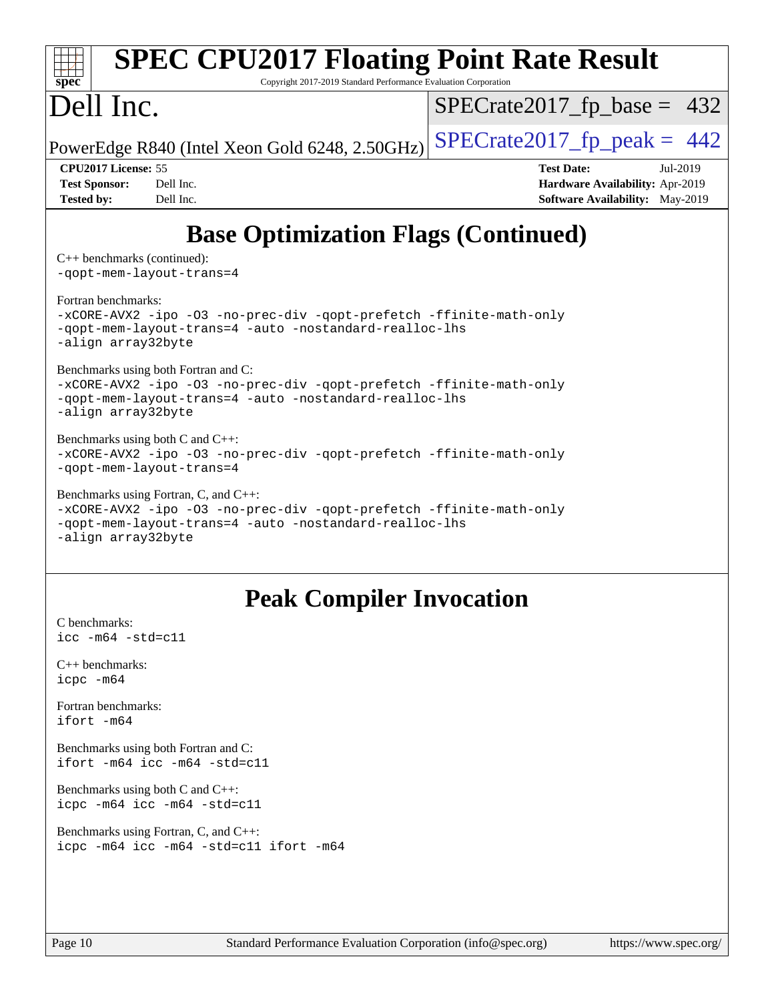| <b>SPEC CPU2017 Floating Point Rate Result</b><br>Copyright 2017-2019 Standard Performance Evaluation Corporation<br>$spec^*$                                                                |                                                                                                     |  |  |  |  |  |
|----------------------------------------------------------------------------------------------------------------------------------------------------------------------------------------------|-----------------------------------------------------------------------------------------------------|--|--|--|--|--|
| Dell Inc.                                                                                                                                                                                    | $SPECrate2017_fp\_base = 432$                                                                       |  |  |  |  |  |
| PowerEdge R840 (Intel Xeon Gold 6248, 2.50GHz)                                                                                                                                               | $SPECrate2017_fp\_peak = 442$                                                                       |  |  |  |  |  |
| CPU2017 License: 55<br><b>Test Sponsor:</b><br>Dell Inc.<br>Dell Inc.<br><b>Tested by:</b>                                                                                                   | <b>Test Date:</b><br>Jul-2019<br>Hardware Availability: Apr-2019<br>Software Availability: May-2019 |  |  |  |  |  |
| <b>Base Optimization Flags (Continued)</b>                                                                                                                                                   |                                                                                                     |  |  |  |  |  |
| $C++$ benchmarks (continued):<br>-gopt-mem-layout-trans=4                                                                                                                                    |                                                                                                     |  |  |  |  |  |
| Fortran benchmarks:<br>-xCORE-AVX2 -ipo -03 -no-prec-div -qopt-prefetch -ffinite-math-only<br>-qopt-mem-layout-trans=4 -auto -nostandard-realloc-lhs<br>-align array32byte                   |                                                                                                     |  |  |  |  |  |
| Benchmarks using both Fortran and C:<br>-xCORE-AVX2 -ipo -03 -no-prec-div -qopt-prefetch -ffinite-math-only<br>-qopt-mem-layout-trans=4 -auto -nostandard-realloc-lhs<br>-align array32byte  |                                                                                                     |  |  |  |  |  |
| Benchmarks using both C and C++:<br>-xCORE-AVX2 -ipo -03 -no-prec-div -qopt-prefetch -ffinite-math-only<br>-gopt-mem-layout-trans=4                                                          |                                                                                                     |  |  |  |  |  |
| Benchmarks using Fortran, C, and C++:<br>-xCORE-AVX2 -ipo -03 -no-prec-div -qopt-prefetch -ffinite-math-only<br>-qopt-mem-layout-trans=4 -auto -nostandard-realloc-lhs<br>-align array32byte |                                                                                                     |  |  |  |  |  |
| <b>Peak Compiler Invocation</b>                                                                                                                                                              |                                                                                                     |  |  |  |  |  |
| C benchmarks:<br>$\text{icc}$ -m64 -std=c11                                                                                                                                                  |                                                                                                     |  |  |  |  |  |
| $C_{++}$ benchmarks:<br>icpc -m64                                                                                                                                                            |                                                                                                     |  |  |  |  |  |
| Fortran benchmarks:<br>ifort -m64                                                                                                                                                            |                                                                                                     |  |  |  |  |  |
| Benchmarks using both Fortran and C:<br>ifort -m64 icc -m64 -std=c11                                                                                                                         |                                                                                                     |  |  |  |  |  |
| Benchmarks using both C and C++:                                                                                                                                                             |                                                                                                     |  |  |  |  |  |

[Benchmarks using Fortran, C, and C++:](http://www.spec.org/auto/cpu2017/Docs/result-fields.html#BenchmarksusingFortranCandCXX) [icpc -m64](http://www.spec.org/cpu2017/results/res2019q3/cpu2017-20190722-16254.flags.html#user_CC_CXX_FCpeak_intel_icpc_64bit_4ecb2543ae3f1412ef961e0650ca070fec7b7afdcd6ed48761b84423119d1bf6bdf5cad15b44d48e7256388bc77273b966e5eb805aefd121eb22e9299b2ec9d9) [icc -m64 -std=c11](http://www.spec.org/cpu2017/results/res2019q3/cpu2017-20190722-16254.flags.html#user_CC_CXX_FCpeak_intel_icc_64bit_c11_33ee0cdaae7deeeab2a9725423ba97205ce30f63b9926c2519791662299b76a0318f32ddfffdc46587804de3178b4f9328c46fa7c2b0cd779d7a61945c91cd35) [ifort -m64](http://www.spec.org/cpu2017/results/res2019q3/cpu2017-20190722-16254.flags.html#user_CC_CXX_FCpeak_intel_ifort_64bit_24f2bb282fbaeffd6157abe4f878425411749daecae9a33200eee2bee2fe76f3b89351d69a8130dd5949958ce389cf37ff59a95e7a40d588e8d3a57e0c3fd751)

[icpc -m64](http://www.spec.org/cpu2017/results/res2019q3/cpu2017-20190722-16254.flags.html#user_CC_CXXpeak_intel_icpc_64bit_4ecb2543ae3f1412ef961e0650ca070fec7b7afdcd6ed48761b84423119d1bf6bdf5cad15b44d48e7256388bc77273b966e5eb805aefd121eb22e9299b2ec9d9) [icc -m64 -std=c11](http://www.spec.org/cpu2017/results/res2019q3/cpu2017-20190722-16254.flags.html#user_CC_CXXpeak_intel_icc_64bit_c11_33ee0cdaae7deeeab2a9725423ba97205ce30f63b9926c2519791662299b76a0318f32ddfffdc46587804de3178b4f9328c46fa7c2b0cd779d7a61945c91cd35)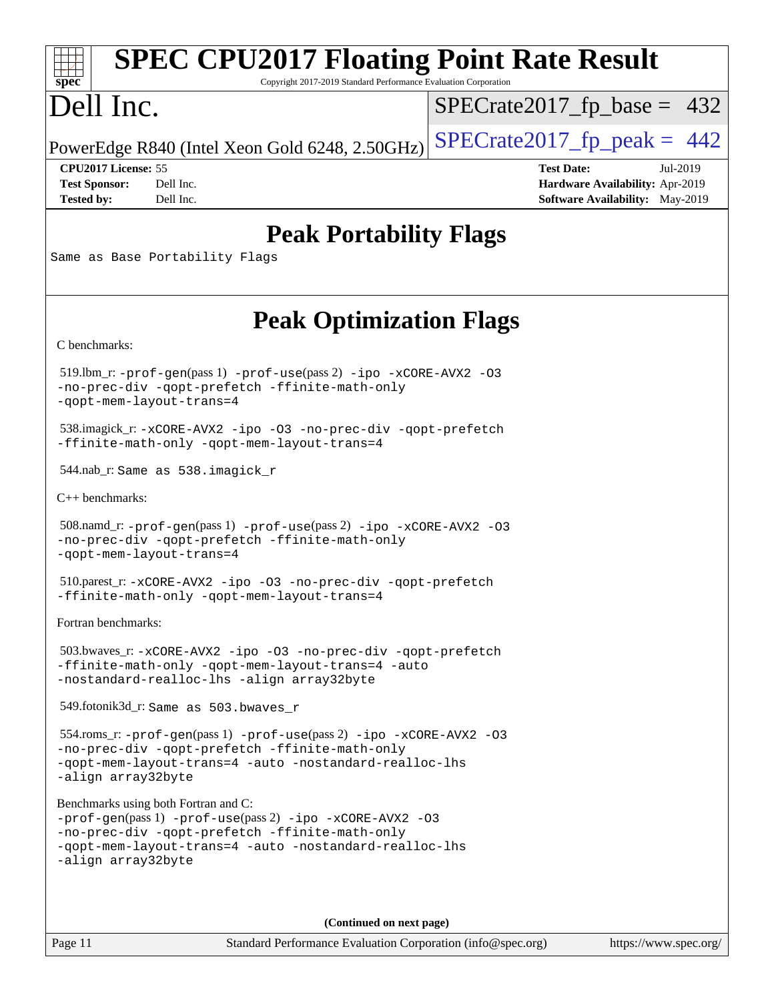#### **[SPEC CPU2017 Floating Point Rate Result](http://www.spec.org/auto/cpu2017/Docs/result-fields.html#SPECCPU2017FloatingPointRateResult)**  $\pm$   $\prime$ **[spec](http://www.spec.org/)** Copyright 2017-2019 Standard Performance Evaluation Corporation Dell Inc.  $SPECTate2017_fp\_base = 432$ PowerEdge R840 (Intel Xeon Gold 6248, 2.50GHz)  $\text{SPECrate2017\_fp\_peak} = 442$ **[CPU2017 License:](http://www.spec.org/auto/cpu2017/Docs/result-fields.html#CPU2017License)** 55 **[Test Date:](http://www.spec.org/auto/cpu2017/Docs/result-fields.html#TestDate)** Jul-2019 **[Test Sponsor:](http://www.spec.org/auto/cpu2017/Docs/result-fields.html#TestSponsor)** Dell Inc. **[Hardware Availability:](http://www.spec.org/auto/cpu2017/Docs/result-fields.html#HardwareAvailability)** Apr-2019 **[Tested by:](http://www.spec.org/auto/cpu2017/Docs/result-fields.html#Testedby)** Dell Inc. Dell Inc. **[Software Availability:](http://www.spec.org/auto/cpu2017/Docs/result-fields.html#SoftwareAvailability)** May-2019 **[Peak Portability Flags](http://www.spec.org/auto/cpu2017/Docs/result-fields.html#PeakPortabilityFlags)** Same as Base Portability Flags **[Peak Optimization Flags](http://www.spec.org/auto/cpu2017/Docs/result-fields.html#PeakOptimizationFlags)** [C benchmarks](http://www.spec.org/auto/cpu2017/Docs/result-fields.html#Cbenchmarks): 519.lbm\_r: [-prof-gen](http://www.spec.org/cpu2017/results/res2019q3/cpu2017-20190722-16254.flags.html#user_peakPASS1_CFLAGSPASS1_LDFLAGS519_lbm_r_prof_gen_5aa4926d6013ddb2a31985c654b3eb18169fc0c6952a63635c234f711e6e63dd76e94ad52365559451ec499a2cdb89e4dc58ba4c67ef54ca681ffbe1461d6b36)(pass 1) [-prof-use](http://www.spec.org/cpu2017/results/res2019q3/cpu2017-20190722-16254.flags.html#user_peakPASS2_CFLAGSPASS2_LDFLAGS519_lbm_r_prof_use_1a21ceae95f36a2b53c25747139a6c16ca95bd9def2a207b4f0849963b97e94f5260e30a0c64f4bb623698870e679ca08317ef8150905d41bd88c6f78df73f19)(pass 2) [-ipo](http://www.spec.org/cpu2017/results/res2019q3/cpu2017-20190722-16254.flags.html#user_peakPASS1_COPTIMIZEPASS2_COPTIMIZE519_lbm_r_f-ipo) [-xCORE-AVX2](http://www.spec.org/cpu2017/results/res2019q3/cpu2017-20190722-16254.flags.html#user_peakPASS2_COPTIMIZE519_lbm_r_f-xCORE-AVX2) [-O3](http://www.spec.org/cpu2017/results/res2019q3/cpu2017-20190722-16254.flags.html#user_peakPASS1_COPTIMIZEPASS2_COPTIMIZE519_lbm_r_f-O3) [-no-prec-div](http://www.spec.org/cpu2017/results/res2019q3/cpu2017-20190722-16254.flags.html#user_peakPASS1_COPTIMIZEPASS2_COPTIMIZE519_lbm_r_f-no-prec-div) [-qopt-prefetch](http://www.spec.org/cpu2017/results/res2019q3/cpu2017-20190722-16254.flags.html#user_peakPASS1_COPTIMIZEPASS2_COPTIMIZE519_lbm_r_f-qopt-prefetch) [-ffinite-math-only](http://www.spec.org/cpu2017/results/res2019q3/cpu2017-20190722-16254.flags.html#user_peakPASS1_COPTIMIZEPASS2_COPTIMIZE519_lbm_r_f_finite_math_only_cb91587bd2077682c4b38af759c288ed7c732db004271a9512da14a4f8007909a5f1427ecbf1a0fb78ff2a814402c6114ac565ca162485bbcae155b5e4258871) [-qopt-mem-layout-trans=4](http://www.spec.org/cpu2017/results/res2019q3/cpu2017-20190722-16254.flags.html#user_peakPASS1_COPTIMIZEPASS2_COPTIMIZE519_lbm_r_f-qopt-mem-layout-trans_fa39e755916c150a61361b7846f310bcdf6f04e385ef281cadf3647acec3f0ae266d1a1d22d972a7087a248fd4e6ca390a3634700869573d231a252c784941a8) 538.imagick\_r: [-xCORE-AVX2](http://www.spec.org/cpu2017/results/res2019q3/cpu2017-20190722-16254.flags.html#user_peakCOPTIMIZE538_imagick_r_f-xCORE-AVX2) [-ipo](http://www.spec.org/cpu2017/results/res2019q3/cpu2017-20190722-16254.flags.html#user_peakCOPTIMIZE538_imagick_r_f-ipo) [-O3](http://www.spec.org/cpu2017/results/res2019q3/cpu2017-20190722-16254.flags.html#user_peakCOPTIMIZE538_imagick_r_f-O3) [-no-prec-div](http://www.spec.org/cpu2017/results/res2019q3/cpu2017-20190722-16254.flags.html#user_peakCOPTIMIZE538_imagick_r_f-no-prec-div) [-qopt-prefetch](http://www.spec.org/cpu2017/results/res2019q3/cpu2017-20190722-16254.flags.html#user_peakCOPTIMIZE538_imagick_r_f-qopt-prefetch) [-ffinite-math-only](http://www.spec.org/cpu2017/results/res2019q3/cpu2017-20190722-16254.flags.html#user_peakCOPTIMIZE538_imagick_r_f_finite_math_only_cb91587bd2077682c4b38af759c288ed7c732db004271a9512da14a4f8007909a5f1427ecbf1a0fb78ff2a814402c6114ac565ca162485bbcae155b5e4258871) [-qopt-mem-layout-trans=4](http://www.spec.org/cpu2017/results/res2019q3/cpu2017-20190722-16254.flags.html#user_peakCOPTIMIZE538_imagick_r_f-qopt-mem-layout-trans_fa39e755916c150a61361b7846f310bcdf6f04e385ef281cadf3647acec3f0ae266d1a1d22d972a7087a248fd4e6ca390a3634700869573d231a252c784941a8) 544.nab\_r: Same as 538.imagick\_r [C++ benchmarks:](http://www.spec.org/auto/cpu2017/Docs/result-fields.html#CXXbenchmarks) 508.namd\_r: [-prof-gen](http://www.spec.org/cpu2017/results/res2019q3/cpu2017-20190722-16254.flags.html#user_peakPASS1_CXXFLAGSPASS1_LDFLAGS508_namd_r_prof_gen_5aa4926d6013ddb2a31985c654b3eb18169fc0c6952a63635c234f711e6e63dd76e94ad52365559451ec499a2cdb89e4dc58ba4c67ef54ca681ffbe1461d6b36)(pass 1) [-prof-use](http://www.spec.org/cpu2017/results/res2019q3/cpu2017-20190722-16254.flags.html#user_peakPASS2_CXXFLAGSPASS2_LDFLAGS508_namd_r_prof_use_1a21ceae95f36a2b53c25747139a6c16ca95bd9def2a207b4f0849963b97e94f5260e30a0c64f4bb623698870e679ca08317ef8150905d41bd88c6f78df73f19)(pass 2) [-ipo](http://www.spec.org/cpu2017/results/res2019q3/cpu2017-20190722-16254.flags.html#user_peakPASS1_CXXOPTIMIZEPASS2_CXXOPTIMIZE508_namd_r_f-ipo) [-xCORE-AVX2](http://www.spec.org/cpu2017/results/res2019q3/cpu2017-20190722-16254.flags.html#user_peakPASS2_CXXOPTIMIZE508_namd_r_f-xCORE-AVX2) [-O3](http://www.spec.org/cpu2017/results/res2019q3/cpu2017-20190722-16254.flags.html#user_peakPASS1_CXXOPTIMIZEPASS2_CXXOPTIMIZE508_namd_r_f-O3) [-no-prec-div](http://www.spec.org/cpu2017/results/res2019q3/cpu2017-20190722-16254.flags.html#user_peakPASS1_CXXOPTIMIZEPASS2_CXXOPTIMIZE508_namd_r_f-no-prec-div) [-qopt-prefetch](http://www.spec.org/cpu2017/results/res2019q3/cpu2017-20190722-16254.flags.html#user_peakPASS1_CXXOPTIMIZEPASS2_CXXOPTIMIZE508_namd_r_f-qopt-prefetch) [-ffinite-math-only](http://www.spec.org/cpu2017/results/res2019q3/cpu2017-20190722-16254.flags.html#user_peakPASS1_CXXOPTIMIZEPASS2_CXXOPTIMIZE508_namd_r_f_finite_math_only_cb91587bd2077682c4b38af759c288ed7c732db004271a9512da14a4f8007909a5f1427ecbf1a0fb78ff2a814402c6114ac565ca162485bbcae155b5e4258871) [-qopt-mem-layout-trans=4](http://www.spec.org/cpu2017/results/res2019q3/cpu2017-20190722-16254.flags.html#user_peakPASS1_CXXOPTIMIZEPASS2_CXXOPTIMIZE508_namd_r_f-qopt-mem-layout-trans_fa39e755916c150a61361b7846f310bcdf6f04e385ef281cadf3647acec3f0ae266d1a1d22d972a7087a248fd4e6ca390a3634700869573d231a252c784941a8) 510.parest\_r: [-xCORE-AVX2](http://www.spec.org/cpu2017/results/res2019q3/cpu2017-20190722-16254.flags.html#user_peakCXXOPTIMIZE510_parest_r_f-xCORE-AVX2) [-ipo](http://www.spec.org/cpu2017/results/res2019q3/cpu2017-20190722-16254.flags.html#user_peakCXXOPTIMIZE510_parest_r_f-ipo) [-O3](http://www.spec.org/cpu2017/results/res2019q3/cpu2017-20190722-16254.flags.html#user_peakCXXOPTIMIZE510_parest_r_f-O3) [-no-prec-div](http://www.spec.org/cpu2017/results/res2019q3/cpu2017-20190722-16254.flags.html#user_peakCXXOPTIMIZE510_parest_r_f-no-prec-div) [-qopt-prefetch](http://www.spec.org/cpu2017/results/res2019q3/cpu2017-20190722-16254.flags.html#user_peakCXXOPTIMIZE510_parest_r_f-qopt-prefetch) [-ffinite-math-only](http://www.spec.org/cpu2017/results/res2019q3/cpu2017-20190722-16254.flags.html#user_peakCXXOPTIMIZE510_parest_r_f_finite_math_only_cb91587bd2077682c4b38af759c288ed7c732db004271a9512da14a4f8007909a5f1427ecbf1a0fb78ff2a814402c6114ac565ca162485bbcae155b5e4258871) [-qopt-mem-layout-trans=4](http://www.spec.org/cpu2017/results/res2019q3/cpu2017-20190722-16254.flags.html#user_peakCXXOPTIMIZE510_parest_r_f-qopt-mem-layout-trans_fa39e755916c150a61361b7846f310bcdf6f04e385ef281cadf3647acec3f0ae266d1a1d22d972a7087a248fd4e6ca390a3634700869573d231a252c784941a8) [Fortran benchmarks](http://www.spec.org/auto/cpu2017/Docs/result-fields.html#Fortranbenchmarks): 503.bwaves\_r: [-xCORE-AVX2](http://www.spec.org/cpu2017/results/res2019q3/cpu2017-20190722-16254.flags.html#user_peakFOPTIMIZE503_bwaves_r_f-xCORE-AVX2) [-ipo](http://www.spec.org/cpu2017/results/res2019q3/cpu2017-20190722-16254.flags.html#user_peakFOPTIMIZE503_bwaves_r_f-ipo) [-O3](http://www.spec.org/cpu2017/results/res2019q3/cpu2017-20190722-16254.flags.html#user_peakFOPTIMIZE503_bwaves_r_f-O3) [-no-prec-div](http://www.spec.org/cpu2017/results/res2019q3/cpu2017-20190722-16254.flags.html#user_peakFOPTIMIZE503_bwaves_r_f-no-prec-div) [-qopt-prefetch](http://www.spec.org/cpu2017/results/res2019q3/cpu2017-20190722-16254.flags.html#user_peakFOPTIMIZE503_bwaves_r_f-qopt-prefetch) [-ffinite-math-only](http://www.spec.org/cpu2017/results/res2019q3/cpu2017-20190722-16254.flags.html#user_peakFOPTIMIZE503_bwaves_r_f_finite_math_only_cb91587bd2077682c4b38af759c288ed7c732db004271a9512da14a4f8007909a5f1427ecbf1a0fb78ff2a814402c6114ac565ca162485bbcae155b5e4258871) [-qopt-mem-layout-trans=4](http://www.spec.org/cpu2017/results/res2019q3/cpu2017-20190722-16254.flags.html#user_peakFOPTIMIZE503_bwaves_r_f-qopt-mem-layout-trans_fa39e755916c150a61361b7846f310bcdf6f04e385ef281cadf3647acec3f0ae266d1a1d22d972a7087a248fd4e6ca390a3634700869573d231a252c784941a8) [-auto](http://www.spec.org/cpu2017/results/res2019q3/cpu2017-20190722-16254.flags.html#user_peakFOPTIMIZE503_bwaves_r_f-auto) [-nostandard-realloc-lhs](http://www.spec.org/cpu2017/results/res2019q3/cpu2017-20190722-16254.flags.html#user_peakEXTRA_FOPTIMIZE503_bwaves_r_f_2003_std_realloc_82b4557e90729c0f113870c07e44d33d6f5a304b4f63d4c15d2d0f1fab99f5daaed73bdb9275d9ae411527f28b936061aa8b9c8f2d63842963b95c9dd6426b8a) [-align array32byte](http://www.spec.org/cpu2017/results/res2019q3/cpu2017-20190722-16254.flags.html#user_peakEXTRA_FOPTIMIZE503_bwaves_r_align_array32byte_b982fe038af199962ba9a80c053b8342c548c85b40b8e86eb3cc33dee0d7986a4af373ac2d51c3f7cf710a18d62fdce2948f201cd044323541f22fc0fffc51b6) 549.fotonik3d\_r: Same as 503.bwaves\_r 554.roms\_r: [-prof-gen](http://www.spec.org/cpu2017/results/res2019q3/cpu2017-20190722-16254.flags.html#user_peakPASS1_FFLAGSPASS1_LDFLAGS554_roms_r_prof_gen_5aa4926d6013ddb2a31985c654b3eb18169fc0c6952a63635c234f711e6e63dd76e94ad52365559451ec499a2cdb89e4dc58ba4c67ef54ca681ffbe1461d6b36)(pass 1) [-prof-use](http://www.spec.org/cpu2017/results/res2019q3/cpu2017-20190722-16254.flags.html#user_peakPASS2_FFLAGSPASS2_LDFLAGS554_roms_r_prof_use_1a21ceae95f36a2b53c25747139a6c16ca95bd9def2a207b4f0849963b97e94f5260e30a0c64f4bb623698870e679ca08317ef8150905d41bd88c6f78df73f19)(pass 2) [-ipo](http://www.spec.org/cpu2017/results/res2019q3/cpu2017-20190722-16254.flags.html#user_peakPASS1_FOPTIMIZEPASS2_FOPTIMIZE554_roms_r_f-ipo) [-xCORE-AVX2](http://www.spec.org/cpu2017/results/res2019q3/cpu2017-20190722-16254.flags.html#user_peakPASS2_FOPTIMIZE554_roms_r_f-xCORE-AVX2) [-O3](http://www.spec.org/cpu2017/results/res2019q3/cpu2017-20190722-16254.flags.html#user_peakPASS1_FOPTIMIZEPASS2_FOPTIMIZE554_roms_r_f-O3) [-no-prec-div](http://www.spec.org/cpu2017/results/res2019q3/cpu2017-20190722-16254.flags.html#user_peakPASS1_FOPTIMIZEPASS2_FOPTIMIZE554_roms_r_f-no-prec-div) [-qopt-prefetch](http://www.spec.org/cpu2017/results/res2019q3/cpu2017-20190722-16254.flags.html#user_peakPASS1_FOPTIMIZEPASS2_FOPTIMIZE554_roms_r_f-qopt-prefetch) [-ffinite-math-only](http://www.spec.org/cpu2017/results/res2019q3/cpu2017-20190722-16254.flags.html#user_peakPASS1_FOPTIMIZEPASS2_FOPTIMIZE554_roms_r_f_finite_math_only_cb91587bd2077682c4b38af759c288ed7c732db004271a9512da14a4f8007909a5f1427ecbf1a0fb78ff2a814402c6114ac565ca162485bbcae155b5e4258871) [-qopt-mem-layout-trans=4](http://www.spec.org/cpu2017/results/res2019q3/cpu2017-20190722-16254.flags.html#user_peakPASS1_FOPTIMIZEPASS2_FOPTIMIZE554_roms_r_f-qopt-mem-layout-trans_fa39e755916c150a61361b7846f310bcdf6f04e385ef281cadf3647acec3f0ae266d1a1d22d972a7087a248fd4e6ca390a3634700869573d231a252c784941a8) [-auto](http://www.spec.org/cpu2017/results/res2019q3/cpu2017-20190722-16254.flags.html#user_peakPASS2_FOPTIMIZE554_roms_r_f-auto) [-nostandard-realloc-lhs](http://www.spec.org/cpu2017/results/res2019q3/cpu2017-20190722-16254.flags.html#user_peakEXTRA_FOPTIMIZE554_roms_r_f_2003_std_realloc_82b4557e90729c0f113870c07e44d33d6f5a304b4f63d4c15d2d0f1fab99f5daaed73bdb9275d9ae411527f28b936061aa8b9c8f2d63842963b95c9dd6426b8a) [-align array32byte](http://www.spec.org/cpu2017/results/res2019q3/cpu2017-20190722-16254.flags.html#user_peakEXTRA_FOPTIMIZE554_roms_r_align_array32byte_b982fe038af199962ba9a80c053b8342c548c85b40b8e86eb3cc33dee0d7986a4af373ac2d51c3f7cf710a18d62fdce2948f201cd044323541f22fc0fffc51b6) [Benchmarks using both Fortran and C](http://www.spec.org/auto/cpu2017/Docs/result-fields.html#BenchmarksusingbothFortranandC): [-prof-gen](http://www.spec.org/cpu2017/results/res2019q3/cpu2017-20190722-16254.flags.html#user_CC_FCpeak_prof_gen_5aa4926d6013ddb2a31985c654b3eb18169fc0c6952a63635c234f711e6e63dd76e94ad52365559451ec499a2cdb89e4dc58ba4c67ef54ca681ffbe1461d6b36)(pass 1) [-prof-use](http://www.spec.org/cpu2017/results/res2019q3/cpu2017-20190722-16254.flags.html#user_CC_FCpeak_prof_use_1a21ceae95f36a2b53c25747139a6c16ca95bd9def2a207b4f0849963b97e94f5260e30a0c64f4bb623698870e679ca08317ef8150905d41bd88c6f78df73f19)(pass 2) [-ipo](http://www.spec.org/cpu2017/results/res2019q3/cpu2017-20190722-16254.flags.html#user_CC_FCpeak_f-ipo) [-xCORE-AVX2](http://www.spec.org/cpu2017/results/res2019q3/cpu2017-20190722-16254.flags.html#user_CC_FCpeak_f-xCORE-AVX2) [-O3](http://www.spec.org/cpu2017/results/res2019q3/cpu2017-20190722-16254.flags.html#user_CC_FCpeak_f-O3) [-no-prec-div](http://www.spec.org/cpu2017/results/res2019q3/cpu2017-20190722-16254.flags.html#user_CC_FCpeak_f-no-prec-div) [-qopt-prefetch](http://www.spec.org/cpu2017/results/res2019q3/cpu2017-20190722-16254.flags.html#user_CC_FCpeak_f-qopt-prefetch) [-ffinite-math-only](http://www.spec.org/cpu2017/results/res2019q3/cpu2017-20190722-16254.flags.html#user_CC_FCpeak_f_finite_math_only_cb91587bd2077682c4b38af759c288ed7c732db004271a9512da14a4f8007909a5f1427ecbf1a0fb78ff2a814402c6114ac565ca162485bbcae155b5e4258871) [-qopt-mem-layout-trans=4](http://www.spec.org/cpu2017/results/res2019q3/cpu2017-20190722-16254.flags.html#user_CC_FCpeak_f-qopt-mem-layout-trans_fa39e755916c150a61361b7846f310bcdf6f04e385ef281cadf3647acec3f0ae266d1a1d22d972a7087a248fd4e6ca390a3634700869573d231a252c784941a8) [-auto](http://www.spec.org/cpu2017/results/res2019q3/cpu2017-20190722-16254.flags.html#user_CC_FCpeak_f-auto) [-nostandard-realloc-lhs](http://www.spec.org/cpu2017/results/res2019q3/cpu2017-20190722-16254.flags.html#user_CC_FCpeak_f_2003_std_realloc_82b4557e90729c0f113870c07e44d33d6f5a304b4f63d4c15d2d0f1fab99f5daaed73bdb9275d9ae411527f28b936061aa8b9c8f2d63842963b95c9dd6426b8a) [-align array32byte](http://www.spec.org/cpu2017/results/res2019q3/cpu2017-20190722-16254.flags.html#user_CC_FCpeak_align_array32byte_b982fe038af199962ba9a80c053b8342c548c85b40b8e86eb3cc33dee0d7986a4af373ac2d51c3f7cf710a18d62fdce2948f201cd044323541f22fc0fffc51b6) **(Continued on next page)**Page 11 Standard Performance Evaluation Corporation [\(info@spec.org\)](mailto:info@spec.org) <https://www.spec.org/>